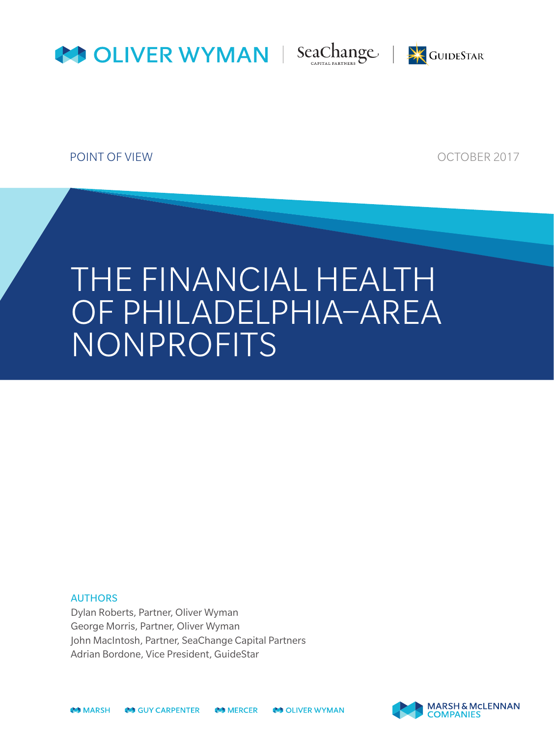





POINT OF VIEW CONTROL CONTROL CONTROL CONTROL CONTROL CONTROL CONTROL CONTROL CONTROL CONTROL CONTROL CONTROL CONTROL CONTROL CONTROL CONTROL CONTROL CONTROL CONTROL CONTROL CONTROL CONTROL CONTROL CONTROL CONTROL CONTROL

# THE FINANCIAL HEALTH OF PHILADELPHIA–AREA NONPROFITS

#### AUTHORS

Dylan Roberts, Partner, Oliver Wyman George Morris, Partner, Oliver Wyman John MacIntosh, Partner, SeaChange Capital Partners Adrian Bordone, Vice President, GuideStar



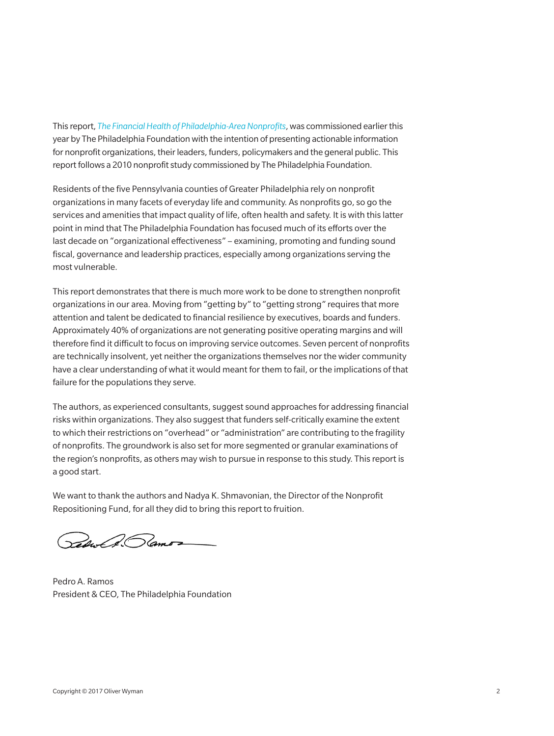This report, *The Financial Health of Philadelphia-Area Nonprofits*, was commissioned earlier this year by The Philadelphia Foundation with the intention of presenting actionable information for nonprofit organizations, their leaders, funders, policymakers and the general public. This report follows a 2010 nonprofit study commissioned by The Philadelphia Foundation.

Residents of the five Pennsylvania counties of Greater Philadelphia rely on nonprofit organizations in many facets of everyday life and community. As nonprofits go, so go the services and amenities that impact quality of life, often health and safety. It is with this latter point in mind that The Philadelphia Foundation has focused much of its efforts over the last decade on "organizational effectiveness" – examining, promoting and funding sound fiscal, governance and leadership practices, especially among organizations serving the most vulnerable.

This report demonstrates that there is much more work to be done to strengthen nonprofit organizations in our area. Moving from "getting by" to "getting strong" requires that more attention and talent be dedicated to financial resilience by executives, boards and funders. Approximately 40% of organizations are not generating positive operating margins and will therefore find it difficult to focus on improving service outcomes. Seven percent of nonprofits are technically insolvent, yet neither the organizations themselves nor the wider community have a clear understanding of what it would meant for them to fail, or the implications of that failure for the populations they serve.

The authors, as experienced consultants, suggest sound approaches for addressing financial risks within organizations. They also suggest that funders self-critically examine the extent to which their restrictions on "overhead" or "administration" are contributing to the fragility of nonprofits. The groundwork is also set for more segmented or granular examinations of the region's nonprofits, as others may wish to pursue in response to this study. This report is a good start.

We want to thank the authors and Nadya K. Shmavonian, the Director of the Nonprofit Repositioning Fund, for all they did to bring this report to fruition.

Reduct 3. Pamor

Pedro A. Ramos President & CEO, The Philadelphia Foundation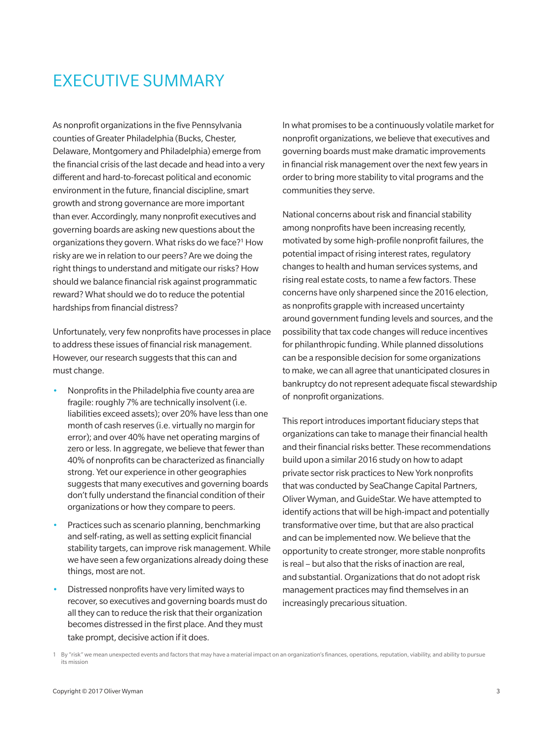### EXECUTIVE SUMMARY

As nonprofit organizations in the five Pennsylvania counties of Greater Philadelphia (Bucks, Chester, Delaware, Montgomery and Philadelphia) emerge from the financial crisis of the last decade and head into a very different and hard-to-forecast political and economic environment in the future, financial discipline, smart growth and strong governance are more important than ever. Accordingly, many nonprofit executives and governing boards are asking new questions about the organizations they govern. What risks do we face?1 How risky are we in relation to our peers? Are we doing the right things to understand and mitigate our risks? How should we balance financial risk against programmatic reward? What should we do to reduce the potential hardships from financial distress?

Unfortunately, very few nonprofits have processes in place to address these issues of financial risk management. However, our research suggests that this can and must change.

- Nonprofits in the Philadelphia five county area are fragile: roughly 7% are technically insolvent (i.e. liabilities exceed assets); over 20% have less than one month of cash reserves (i.e. virtually no margin for error); and over 40% have net operating margins of zero or less. In aggregate, we believe that fewer than 40% of nonprofits can be characterized as financially strong. Yet our experience in other geographies suggests that many executives and governing boards don't fully understand the financial condition of their organizations or how they compare to peers.
- Practices such as scenario planning, benchmarking and self-rating, as well as setting explicit financial stability targets, can improve risk management. While we have seen a few organizations already doing these things, most are not.
- Distressed nonprofits have very limited ways to recover, so executives and governing boards must do all they can to reduce the risk that their organization becomes distressed in the first place. And they must take prompt, decisive action if it does.

In what promises to be a continuously volatile market for nonprofit organizations, we believe that executives and governing boards must make dramatic improvements in financial risk management over the next few years in order to bring more stability to vital programs and the communities they serve.

National concerns about risk and financial stability among nonprofits have been increasing recently, motivated by some high-profile nonprofit failures, the potential impact of rising interest rates, regulatory changes to health and human services systems, and rising real estate costs, to name a few factors. These concerns have only sharpened since the 2016 election, as nonprofits grapple with increased uncertainty around government funding levels and sources, and the possibility that tax code changes will reduce incentives for philanthropic funding. While planned dissolutions can be a responsible decision for some organizations to make, we can all agree that unanticipated closures in bankruptcy do not represent adequate fiscal stewardship of nonprofit organizations.

This report introduces important fiduciary steps that organizations can take to manage their financial health and their financial risks better. These recommendations build upon a similar 2016 study on how to adapt private sector risk practices to New York nonprofits that was conducted by SeaChange Capital Partners, Oliver Wyman, and GuideStar. We have attempted to identify actions that will be high-impact and potentially transformative over time, but that are also practical and can be implemented now. We believe that the opportunity to create stronger, more stable nonprofits is real – but also that the risks of inaction are real, and substantial. Organizations that do not adopt risk management practices may find themselves in an increasingly precarious situation.

<sup>1</sup> By "risk" we mean unexpected events and factors that may have a material impact on an organization's finances, operations, reputation, viability, and ability to pursue its mission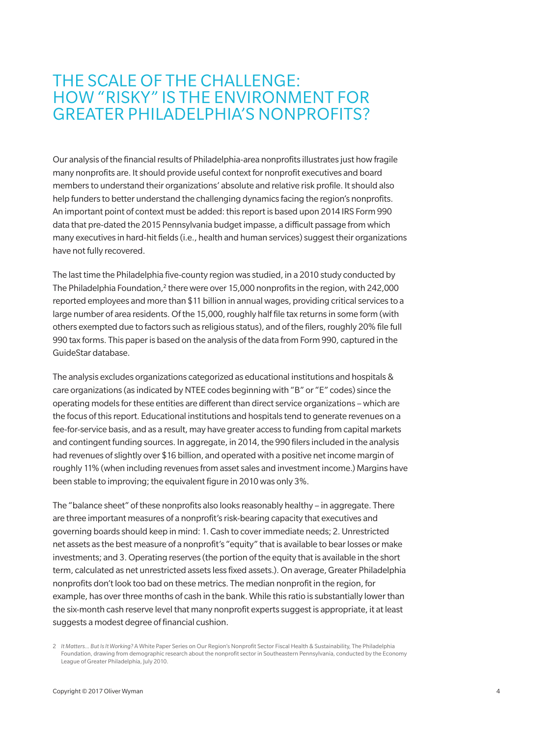### THE SCALE OF THE CHALLENGE: HOW "RISKY" IS THE ENVIRONMENT FOR GREATER PHILADELPHIA'S NONPROFITS?

Our analysis of the financial results of Philadelphia-area nonprofits illustrates just how fragile many nonprofits are. It should provide useful context for nonprofit executives and board members to understand their organizations' absolute and relative risk profile. It should also help funders to better understand the challenging dynamics facing the region's nonprofits. An important point of context must be added: this report is based upon 2014 IRS Form 990 data that pre-dated the 2015 Pennsylvania budget impasse, a difficult passage from which many executives in hard-hit fields (i.e., health and human services) suggest their organizations have not fully recovered.

The last time the Philadelphia five-county region was studied, in a 2010 study conducted by The Philadelphia Foundation,<sup>2</sup> there were over 15,000 nonprofits in the region, with 242,000 reported employees and more than \$11 billion in annual wages, providing critical services to a large number of area residents. Of the 15,000, roughly half file tax returns in some form (with others exempted due to factors such as religious status), and of the filers, roughly 20% file full 990 tax forms. This paper is based on the analysis of the data from Form 990, captured in the GuideStar database.

The analysis excludes organizations categorized as educational institutions and hospitals & care organizations (as indicated by NTEE codes beginning with "B" or "E" codes) since the operating models for these entities are different than direct service organizations – which are the focus of this report. Educational institutions and hospitals tend to generate revenues on a fee-for-service basis, and as a result, may have greater access to funding from capital markets and contingent funding sources. In aggregate, in 2014, the 990 filers included in the analysis had revenues of slightly over \$16 billion, and operated with a positive net income margin of roughly 11% (when including revenues from asset sales and investment income.) Margins have been stable to improving; the equivalent figure in 2010 was only 3%.

The "balance sheet" of these nonprofits also looks reasonably healthy – in aggregate. There are three important measures of a nonprofit's risk-bearing capacity that executives and governing boards should keep in mind: 1. Cash to cover immediate needs; 2. Unrestricted net assets as the best measure of a nonprofit's "equity" that is available to bear losses or make investments; and 3. Operating reserves (the portion of the equity that is available in the short term, calculated as net unrestricted assets less fixed assets.). On average, Greater Philadelphia nonprofits don't look too bad on these metrics. The median nonprofit in the region, for example, has over three months of cash in the bank. While this ratio is substantially lower than the six-month cash reserve level that many nonprofit experts suggest is appropriate, it at least suggests a modest degree of financial cushion.

<sup>2</sup> *It Matters... But Is It Working?* A White Paper Series on Our Region's Nonprofit Sector Fiscal Health & Sustainability, The Philadelphia Foundation, drawing from demographic research about the nonprofit sector in Southeastern Pennsylvania, conducted by the Economy League of Greater Philadelphia, July 2010.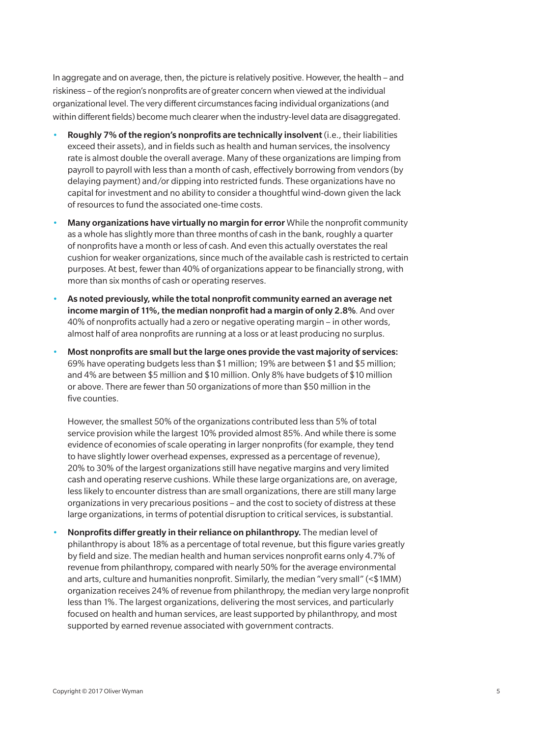In aggregate and on average, then, the picture is relatively positive. However, the health – and riskiness – of the region's nonprofits are of greater concern when viewed at the individual organizational level. The very different circumstances facing individual organizations (and within different fields) become much clearer when the industry-level data are disaggregated.

- Roughly 7% of the region's nonprofits are technically insolvent (i.e., their liabilities exceed their assets), and in fields such as health and human services, the insolvency rate is almost double the overall average. Many of these organizations are limping from payroll to payroll with less than a month of cash, effectively borrowing from vendors (by delaying payment) and/or dipping into restricted funds. These organizations have no capital for investment and no ability to consider a thoughtful wind-down given the lack of resources to fund the associated one-time costs.
- Many organizations have virtually no margin for error While the nonprofit community as a whole has slightly more than three months of cash in the bank, roughly a quarter of nonprofits have a month or less of cash. And even this actually overstates the real cushion for weaker organizations, since much of the available cash is restricted to certain purposes. At best, fewer than 40% of organizations appear to be financially strong, with more than six months of cash or operating reserves.
- As noted previously, while the total nonprofit community earned an average net income margin of 11%, the median nonprofit had a margin of only 2.8%*.* And over 40% of nonprofits actually had a zero or negative operating margin – in other words, almost half of area nonprofits are running at a loss or at least producing no surplus.
- Most nonprofits are small but the large ones provide the vast majority of services: 69% have operating budgets less than \$1 million; 19% are between \$1 and \$5 million; and 4% are between \$5 million and \$10 million. Only 8% have budgets of \$10 million or above. There are fewer than 50 organizations of more than \$50 million in the five counties.

However, the smallest 50% of the organizations contributed less than 5% of total service provision while the largest 10% provided almost 85%. And while there is some evidence of economies of scale operating in larger nonprofits (for example, they tend to have slightly lower overhead expenses, expressed as a percentage of revenue), 20% to 30% of the largest organizations still have negative margins and very limited cash and operating reserve cushions. While these large organizations are, on average, less likely to encounter distress than are small organizations, there are still many large organizations in very precarious positions – and the cost to society of distress at these large organizations, in terms of potential disruption to critical services, is substantial.

• Nonprofits differ greatly in their reliance on philanthropy. The median level of philanthropy is about 18% as a percentage of total revenue, but this figure varies greatly by field and size. The median health and human services nonprofit earns only 4.7% of revenue from philanthropy, compared with nearly 50% for the average environmental and arts, culture and humanities nonprofit. Similarly, the median "very small" (<\$1MM) organization receives 24% of revenue from philanthropy, the median very large nonprofit less than 1%. The largest organizations, delivering the most services, and particularly focused on health and human services, are least supported by philanthropy, and most supported by earned revenue associated with government contracts.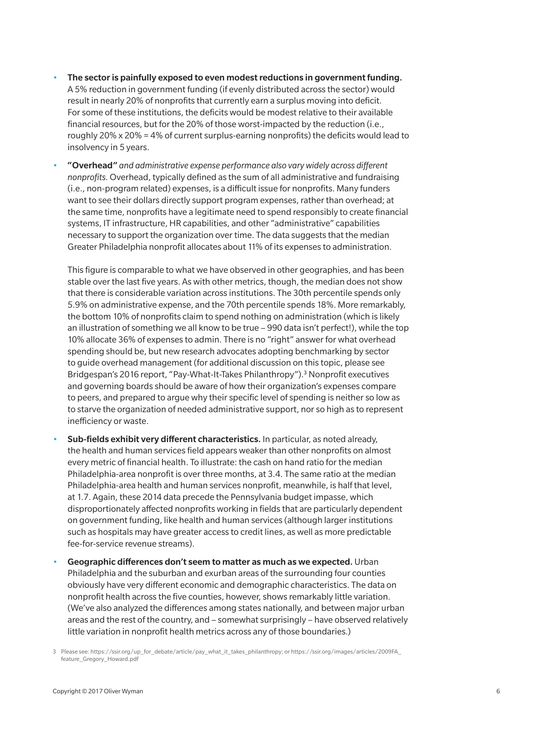- The sector is painfully exposed to even modest reductions in government funding. A 5% reduction in government funding (if evenly distributed across the sector) would result in nearly 20% of nonprofits that currently earn a surplus moving into deficit. For some of these institutions, the deficits would be modest relative to their available financial resources, but for the 20% of those worst-impacted by the reduction (i.e., roughly  $20\% \times 20\% = 4\%$  of current surplus-earning nonprofits) the deficits would lead to insolvency in 5 years.
- "Overhead" *and administrative expense performance also vary widely across different nonprofits.* Overhead, typically defined as the sum of all administrative and fundraising (i.e., non-program related) expenses, is a difficult issue for nonprofits. Many funders want to see their dollars directly support program expenses, rather than overhead; at the same time, nonprofits have a legitimate need to spend responsibly to create financial systems, IT infrastructure, HR capabilities, and other "administrative" capabilities necessary to support the organization over time. The data suggests that the median Greater Philadelphia nonprofit allocates about 11% of its expenses to administration.

This figure is comparable to what we have observed in other geographies, and has been stable over the last five years. As with other metrics, though, the median does not show that there is considerable variation across institutions. The 30th percentile spends only 5.9% on administrative expense, and the 70th percentile spends 18%. More remarkably, the bottom 10% of nonprofits claim to spend nothing on administration (which is likely an illustration of something we all know to be true – 990 data isn't perfect!), while the top 10% allocate 36% of expenses to admin. There is no "right" answer for what overhead spending should be, but new research advocates adopting benchmarking by sector to guide overhead management (for additional discussion on this topic, please see Bridgespan's 2016 report, "Pay-What-It-Takes Philanthropy").3 Nonprofit executives and governing boards should be aware of how their organization's expenses compare to peers, and prepared to argue why their specific level of spending is neither so low as to starve the organization of needed administrative support, nor so high as to represent inefficiency or waste.

- Sub-fields exhibit very different characteristics. In particular, as noted already, the health and human services field appears weaker than other nonprofits on almost every metric of financial health. To illustrate: the cash on hand ratio for the median Philadelphia-area nonprofit is over three months, at 3.4. The same ratio at the median Philadelphia-area health and human services nonprofit, meanwhile, is half that level, at 1.7. Again, these 2014 data precede the Pennsylvania budget impasse, which disproportionately affected nonprofits working in fields that are particularly dependent on government funding, like health and human services (although larger institutions such as hospitals may have greater access to credit lines, as well as more predictable fee-for-service revenue streams).
- Geographic differences don't seem to matter as much as we expected. Urban Philadelphia and the suburban and exurban areas of the surrounding four counties obviously have very different economic and demographic characteristics. The data on nonprofit health across the five counties, however, shows remarkably little variation. (We've also analyzed the differences among states nationally, and between major urban areas and the rest of the country, and – somewhat surprisingly – have observed relatively little variation in nonprofit health metrics across any of those boundaries.)

<sup>3</sup> Please see: https://ssir.org/up\_for\_debate/article/pay\_what\_it\_takes\_philanthropy; or https://ssir.org/images/articles/2009FA\_ feature\_Gregory\_Howard.pdf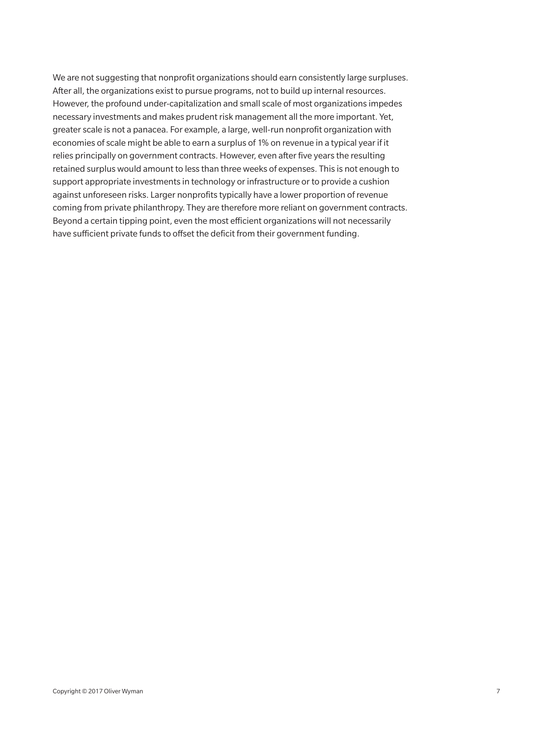We are not suggesting that nonprofit organizations should earn consistently large surpluses. After all, the organizations exist to pursue programs, not to build up internal resources. However, the profound under-capitalization and small scale of most organizations impedes necessary investments and makes prudent risk management all the more important. Yet, greater scale is not a panacea. For example, a large, well-run nonprofit organization with economies of scale might be able to earn a surplus of 1% on revenue in a typical year if it relies principally on government contracts. However, even after five years the resulting retained surplus would amount to less than three weeks of expenses. This is not enough to support appropriate investments in technology or infrastructure or to provide a cushion against unforeseen risks. Larger nonprofits typically have a lower proportion of revenue coming from private philanthropy. They are therefore more reliant on government contracts. Beyond a certain tipping point, even the most efficient organizations will not necessarily have sufficient private funds to offset the deficit from their government funding.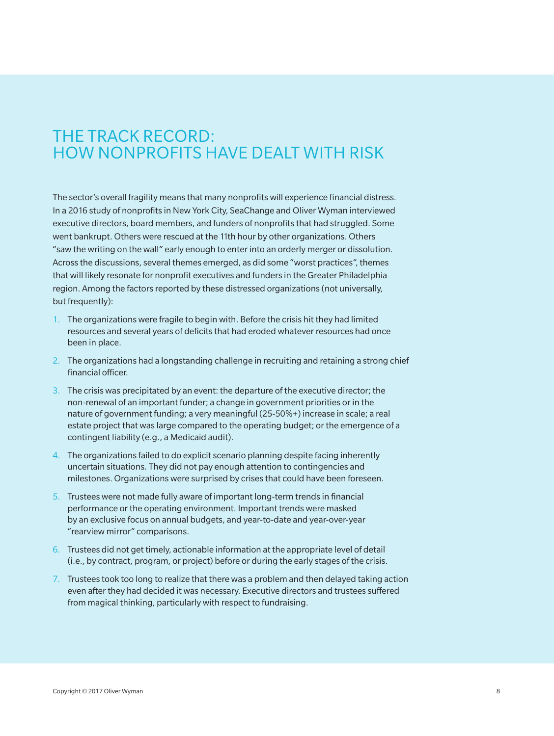### THE TRACK RECORD: HOW NONPROFITS HAVE DEALT WITH RISK

The sector's overall fragility means that many nonprofits will experience financial distress. In a 2016 study of nonprofits in New York City, SeaChange and Oliver Wyman interviewed executive directors, board members, and funders of nonprofits that had struggled. Some went bankrupt. Others were rescued at the 11th hour by other organizations. Others "saw the writing on the wall" early enough to enter into an orderly merger or dissolution. Across the discussions, several themes emerged, as did some "worst practices", themes that will likely resonate for nonprofit executives and funders in the Greater Philadelphia region. Among the factors reported by these distressed organizations (not universally, but frequently):

- 1. The organizations were fragile to begin with. Before the crisis hit they had limited resources and several years of deficits that had eroded whatever resources had once been in place.
- 2. The organizations had a longstanding challenge in recruiting and retaining a strong chief financial officer.
- 3. The crisis was precipitated by an event: the departure of the executive director; the non-renewal of an important funder; a change in government priorities or in the nature of government funding; a very meaningful (25-50%+) increase in scale; a real estate project that was large compared to the operating budget; or the emergence of a contingent liability (e.g., a Medicaid audit).
- 4. The organizations failed to do explicit scenario planning despite facing inherently uncertain situations. They did not pay enough attention to contingencies and milestones. Organizations were surprised by crises that could have been foreseen.
- 5. Trustees were not made fully aware of important long-term trends in financial performance or the operating environment. Important trends were masked by an exclusive focus on annual budgets, and year-to-date and year-over-year "rearview mirror" comparisons.
- 6. Trustees did not get timely, actionable information at the appropriate level of detail (i.e., by contract, program, or project) before or during the early stages of the crisis.
- 7. Trustees took too long to realize that there was a problem and then delayed taking action even after they had decided it was necessary. Executive directors and trustees suffered from magical thinking, particularly with respect to fundraising.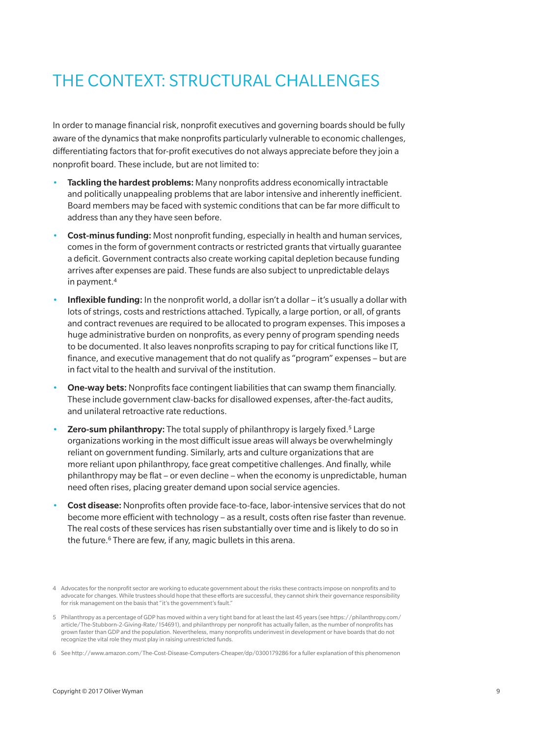# THE CONTEXT: STRUCTURAL CHALLENGES

In order to manage financial risk, nonprofit executives and governing boards should be fully aware of the dynamics that make nonprofits particularly vulnerable to economic challenges, differentiating factors that for-profit executives do not always appreciate before they join a nonprofit board. These include, but are not limited to:

- Tackling the hardest problems: Many nonprofits address economically intractable and politically unappealing problems that are labor intensive and inherently inefficient. Board members may be faced with systemic conditions that can be far more difficult to address than any they have seen before.
- **Cost-minus funding:** Most nonprofit funding, especially in health and human services, comes in the form of government contracts or restricted grants that virtually guarantee a deficit. Government contracts also create working capital depletion because funding arrives after expenses are paid. These funds are also subject to unpredictable delays in payment.<sup>4</sup>
- Inflexible funding: In the nonprofit world, a dollar isn't a dollar it's usually a dollar with lots of strings, costs and restrictions attached. Typically, a large portion, or all, of grants and contract revenues are required to be allocated to program expenses. This imposes a huge administrative burden on nonprofits, as every penny of program spending needs to be documented. It also leaves nonprofits scraping to pay for critical functions like IT, finance, and executive management that do not qualify as "program" expenses – but are in fact vital to the health and survival of the institution.
- **One-way bets:** Nonprofits face contingent liabilities that can swamp them financially. These include government claw-backs for disallowed expenses, after-the-fact audits, and unilateral retroactive rate reductions.
- **Zero-sum philanthropy:** The total supply of philanthropy is largely fixed.<sup>5</sup> Large organizations working in the most difficult issue areas will always be overwhelmingly reliant on government funding. Similarly, arts and culture organizations that are more reliant upon philanthropy, face great competitive challenges. And finally, while philanthropy may be flat – or even decline – when the economy is unpredictable, human need often rises, placing greater demand upon social service agencies.
- Cost disease: Nonprofits often provide face-to-face, labor-intensive services that do not become more efficient with technology – as a result, costs often rise faster than revenue. The real costs of these services has risen substantially over time and is likely to do so in the future.<sup>6</sup> There are few, if any, magic bullets in this arena.

<sup>4</sup> Advocates for the nonprofit sector are working to educate government about the risks these contracts impose on nonprofits and to advocate for changes. While trustees should hope that these efforts are successful, they cannot shirk their governance responsibility for risk management on the basis that "it's the government's fault."

<sup>5</sup> Philanthropy as a percentage of GDP has moved within a very tight band for at least the last 45 years (see https://philanthropy.com/ article/The-Stubborn-2-Giving-Rate/154691), and philanthropy per nonprofit has actually fallen, as the number of nonprofits has grown faster than GDP and the population. Nevertheless, many nonprofits underinvest in development or have boards that do not recognize the vital role they must play in raising unrestricted funds.

<sup>6</sup> See http://www.amazon.com/The-Cost-Disease-Computers-Cheaper/dp/0300179286 for a fuller explanation of this phenomenon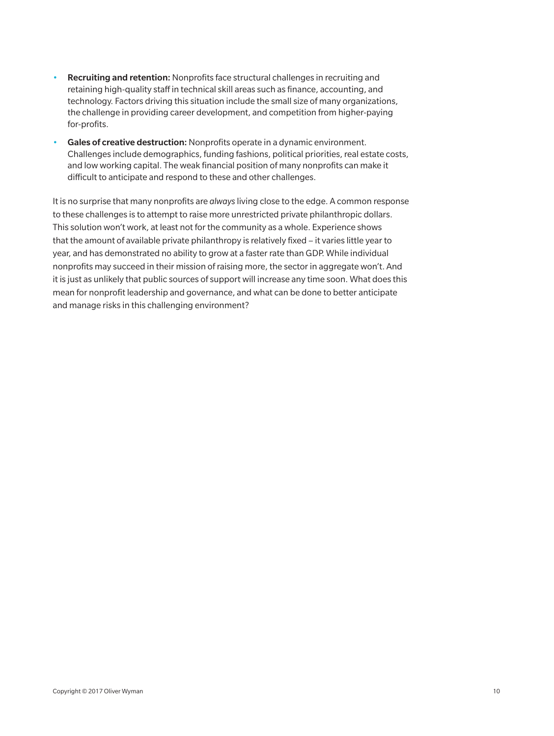- Recruiting and retention: Nonprofits face structural challenges in recruiting and retaining high-quality staff in technical skill areas such as finance, accounting, and technology. Factors driving this situation include the small size of many organizations, the challenge in providing career development, and competition from higher-paying for-profits.
- Gales of creative destruction: Nonprofits operate in a dynamic environment. Challenges include demographics, funding fashions, political priorities, real estate costs, and low working capital. The weak financial position of many nonprofits can make it difficult to anticipate and respond to these and other challenges.

It is no surprise that many nonprofits are *always* living close to the edge. A common response to these challenges is to attempt to raise more unrestricted private philanthropic dollars. This solution won't work, at least not for the community as a whole. Experience shows that the amount of available private philanthropy is relatively fixed – it varies little year to year, and has demonstrated no ability to grow at a faster rate than GDP. While individual nonprofits may succeed in their mission of raising more, the sector in aggregate won't. And it is just as unlikely that public sources of support will increase any time soon. What does this mean for nonprofit leadership and governance, and what can be done to better anticipate and manage risks in this challenging environment?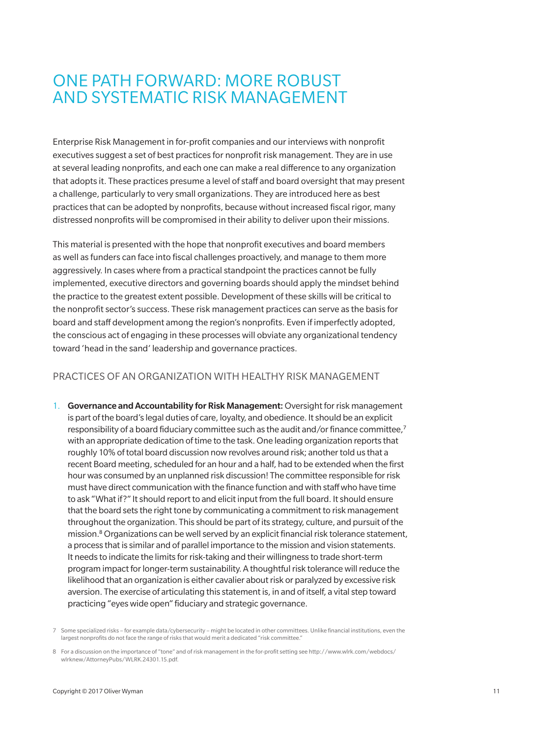### ONE PATH FORWARD: MORE ROBUST AND SYSTEMATIC RISK MANAGEMENT

Enterprise Risk Management in for-profit companies and our interviews with nonprofit executives suggest a set of best practices for nonprofit risk management. They are in use at several leading nonprofits, and each one can make a real difference to any organization that adopts it. These practices presume a level of staff and board oversight that may present a challenge, particularly to very small organizations. They are introduced here as best practices that can be adopted by nonprofits, because without increased fiscal rigor, many distressed nonprofits will be compromised in their ability to deliver upon their missions.

This material is presented with the hope that nonprofit executives and board members as well as funders can face into fiscal challenges proactively, and manage to them more aggressively. In cases where from a practical standpoint the practices cannot be fully implemented, executive directors and governing boards should apply the mindset behind the practice to the greatest extent possible. Development of these skills will be critical to the nonprofit sector's success. These risk management practices can serve as the basis for board and staff development among the region's nonprofits. Even if imperfectly adopted, the conscious act of engaging in these processes will obviate any organizational tendency toward 'head in the sand' leadership and governance practices.

#### PRACTICES OF AN ORGANIZATION WITH HEALTHY RISK MANAGEMENT

1. Governance and Accountability for Risk Management: Oversight for risk management is part of the board's legal duties of care, loyalty, and obedience. It should be an explicit responsibility of a board fiduciary committee such as the audit and/or finance committee,<sup>7</sup> with an appropriate dedication of time to the task. One leading organization reports that roughly 10% of total board discussion now revolves around risk; another told us that a recent Board meeting, scheduled for an hour and a half, had to be extended when the first hour was consumed by an unplanned risk discussion! The committee responsible for risk must have direct communication with the finance function and with staff who have time to ask "What if?" It should report to and elicit input from the full board. It should ensure that the board sets the right tone by communicating a commitment to risk management throughout the organization. This should be part of its strategy, culture, and pursuit of the mission.<sup>8</sup> Organizations can be well served by an explicit financial risk tolerance statement, a process that is similar and of parallel importance to the mission and vision statements. It needs to indicate the limits for risk-taking and their willingness to trade short-term program impact for longer-term sustainability. A thoughtful risk tolerance will reduce the likelihood that an organization is either cavalier about risk or paralyzed by excessive risk aversion. The exercise of articulating this statement is, in and of itself, a vital step toward practicing "eyes wide open" fiduciary and strategic governance.

<sup>7</sup> Some specialized risks – for example data/cybersecurity – might be located in other committees. Unlike financial institutions, even the largest nonprofits do not face the range of risks that would merit a dedicated "risk committee."

<sup>8</sup> For a discussion on the importance of "tone" and of risk management in the for-profit setting see http://www.wlrk.com/webdocs/ wlrknew/AttorneyPubs/WLRK.24301.15.pdf.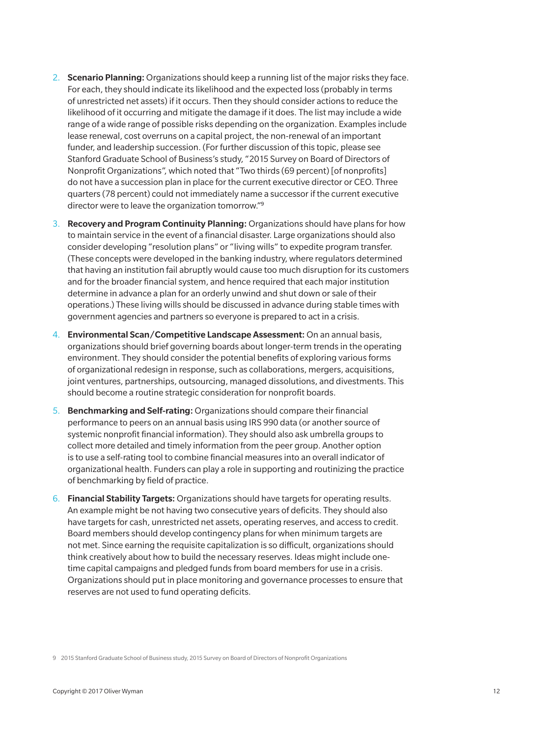- 2. Scenario Planning: Organizations should keep a running list of the major risks they face. For each, they should indicate its likelihood and the expected loss (probably in terms of unrestricted net assets) if it occurs. Then they should consider actions to reduce the likelihood of it occurring and mitigate the damage if it does. The list may include a wide range of a wide range of possible risks depending on the organization. Examples include lease renewal, cost overruns on a capital project, the non-renewal of an important funder, and leadership succession. (For further discussion of this topic, please see Stanford Graduate School of Business's study, "2015 Survey on Board of Directors of Nonprofit Organizations", which noted that "Two thirds (69 percent) [of nonprofits] do not have a succession plan in place for the current executive director or CEO. Three quarters (78 percent) could not immediately name a successor if the current executive director were to leave the organization tomorrow."<sup>9</sup>
- 3. Recovery and Program Continuity Planning: Organizations should have plans for how to maintain service in the event of a financial disaster. Large organizations should also consider developing "resolution plans" or "living wills" to expedite program transfer. (These concepts were developed in the banking industry, where regulators determined that having an institution fail abruptly would cause too much disruption for its customers and for the broader financial system, and hence required that each major institution determine in advance a plan for an orderly unwind and shut down or sale of their operations.) These living wills should be discussed in advance during stable times with government agencies and partners so everyone is prepared to act in a crisis.
- 4. Environmental Scan/Competitive Landscape Assessment: On an annual basis, organizations should brief governing boards about longer-term trends in the operating environment. They should consider the potential benefits of exploring various forms of organizational redesign in response, such as collaborations, mergers, acquisitions, joint ventures, partnerships, outsourcing, managed dissolutions, and divestments. This should become a routine strategic consideration for nonprofit boards.
- 5. Benchmarking and Self-rating: Organizations should compare their financial performance to peers on an annual basis using IRS 990 data (or another source of systemic nonprofit financial information). They should also ask umbrella groups to collect more detailed and timely information from the peer group. Another option is to use a self-rating tool to combine financial measures into an overall indicator of organizational health. Funders can play a role in supporting and routinizing the practice of benchmarking by field of practice.
- 6. Financial Stability Targets: Organizations should have targets for operating results. An example might be not having two consecutive years of deficits. They should also have targets for cash, unrestricted net assets, operating reserves, and access to credit. Board members should develop contingency plans for when minimum targets are not met. Since earning the requisite capitalization is so difficult, organizations should think creatively about how to build the necessary reserves. Ideas might include onetime capital campaigns and pledged funds from board members for use in a crisis. Organizations should put in place monitoring and governance processes to ensure that reserves are not used to fund operating deficits.

9 2015 Stanford Graduate School of Business study, 2015 Survey on Board of Directors of Nonprofit Organizations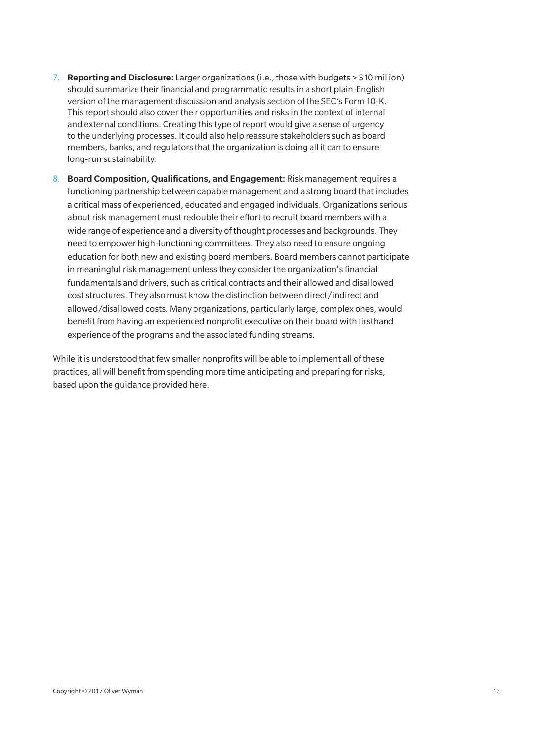- 7. Reporting and Disclosure: Larger organizations (i.e., those with budgets  $> $10$  million) should summarize their financial and programmatic results in a short plain-English version of the management discussion and analysis section of the SEC's Form 10-K. This report should also cover their opportunities and risks in the context of internal and external conditions. Creating this type of report would give a sense of urgency to the underlying processes. It could also help reassure stakeholders such as board members, banks, and regulators that the organization is doing all it can to ensure long-run sustainability.
- 8. Board Composition, Qualifications, and Engagement: Risk management requires a functioning partnership between capable management and a strong board that includes a critical mass of experienced, educated and engaged individuals. Organizations serious about risk management must redouble their effort to recruit board members with a wide range of experience and a diversity of thought processes and backgrounds. They need to empower high-functioning committees. They also need to ensure ongoing education for both new and existing board members. Board members cannot participate in meaningful risk management unless they consider the organization's financial fundamentals and drivers, such as critical contracts and their allowed and disallowed cost structures. They also must know the distinction between direct/indirect and allowed/disallowed costs. Many organizations, particularly large, complex ones, would benefit from having an experienced nonprofit executive on their board with firsthand experience of the programs and the associated funding streams.

While it is understood that few smaller nonprofits will be able to implement all of these practices, all will benefit from spending more time anticipating and preparing for risks, based upon the guidance provided here.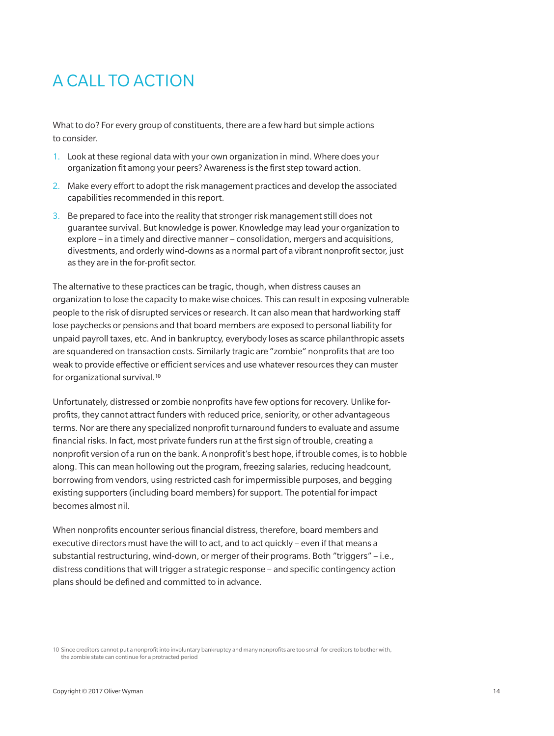# A CALL TO ACTION

What to do? For every group of constituents, there are a few hard but simple actions to consider.

- 1. Look at these regional data with your own organization in mind. Where does your organization fit among your peers? Awareness is the first step toward action.
- 2. Make every effort to adopt the risk management practices and develop the associated capabilities recommended in this report.
- 3. Be prepared to face into the reality that stronger risk management still does not guarantee survival. But knowledge is power. Knowledge may lead your organization to explore – in a timely and directive manner – consolidation, mergers and acquisitions, divestments, and orderly wind-downs as a normal part of a vibrant nonprofit sector, just as they are in the for-profit sector.

The alternative to these practices can be tragic, though, when distress causes an organization to lose the capacity to make wise choices. This can result in exposing vulnerable people to the risk of disrupted services or research. It can also mean that hardworking staff lose paychecks or pensions and that board members are exposed to personal liability for unpaid payroll taxes, etc. And in bankruptcy, everybody loses as scarce philanthropic assets are squandered on transaction costs. Similarly tragic are "zombie" nonprofits that are too weak to provide effective or efficient services and use whatever resources they can muster for organizational survival.<sup>10</sup>

Unfortunately, distressed or zombie nonprofits have few options for recovery. Unlike forprofits, they cannot attract funders with reduced price, seniority, or other advantageous terms. Nor are there any specialized nonprofit turnaround funders to evaluate and assume financial risks. In fact, most private funders run at the first sign of trouble, creating a nonprofit version of a run on the bank. A nonprofit's best hope, if trouble comes, is to hobble along. This can mean hollowing out the program, freezing salaries, reducing headcount, borrowing from vendors, using restricted cash for impermissible purposes, and begging existing supporters (including board members) for support. The potential for impact becomes almost nil.

When nonprofits encounter serious financial distress, therefore, board members and executive directors must have the will to act, and to act quickly – even if that means a substantial restructuring, wind-down, or merger of their programs. Both "triggers" – i.e., distress conditions that will trigger a strategic response – and specific contingency action plans should be defined and committed to in advance.

10 Since creditors cannot put a nonprofit into involuntary bankruptcy and many nonprofits are too small for creditors to bother with, the zombie state can continue for a protracted period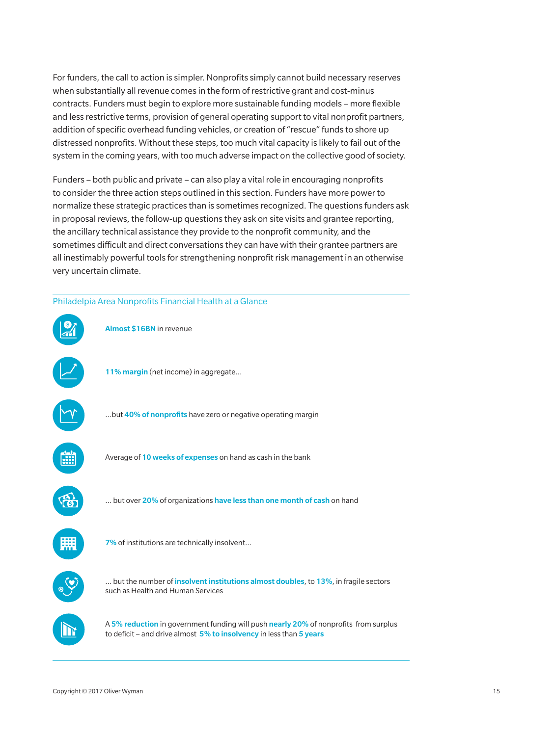For funders, the call to action is simpler. Nonprofits simply cannot build necessary reserves when substantially all revenue comes in the form of restrictive grant and cost-minus contracts. Funders must begin to explore more sustainable funding models – more flexible and less restrictive terms, provision of general operating support to vital nonprofit partners, addition of specific overhead funding vehicles, or creation of "rescue" funds to shore up distressed nonprofits. Without these steps, too much vital capacity is likely to fail out of the system in the coming years, with too much adverse impact on the collective good of society.

Funders – both public and private – can also play a vital role in encouraging nonprofits to consider the three action steps outlined in this section. Funders have more power to normalize these strategic practices than is sometimes recognized. The questions funders ask in proposal reviews, the follow-up questions they ask on site visits and grantee reporting, the ancillary technical assistance they provide to the nonprofit community, and the sometimes difficult and direct conversations they can have with their grantee partners are all inestimably powerful tools for strengthening nonprofit risk management in an otherwise very uncertain climate.

#### Philadelpia Area Nonprofits Financial Health at a Glance

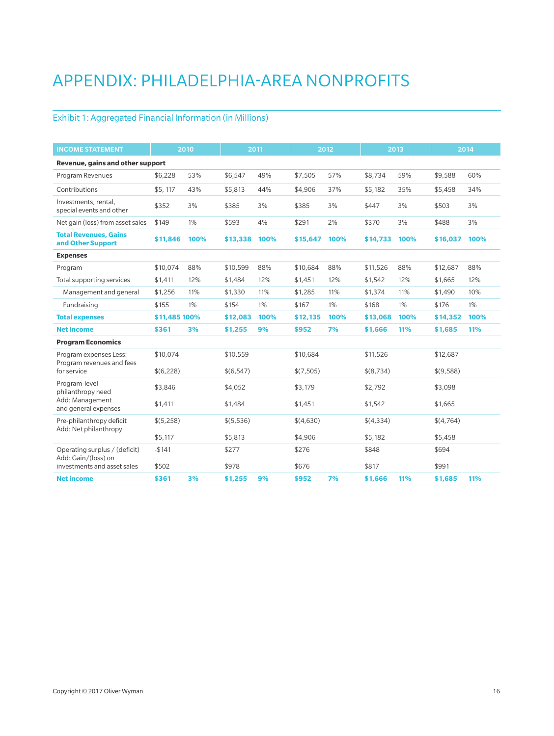# APPENDIX: PHILADELPHIA-AREA NONPROFITS

#### Exhibit 1: Aggregated Financial Information (in Millions)

| <b>INCOME STATEMENT</b>                              |               | 2010  |           | 2011  |           | 2012 |           | 2013       |           | 2014 |
|------------------------------------------------------|---------------|-------|-----------|-------|-----------|------|-----------|------------|-----------|------|
| Revenue, gains and other support                     |               |       |           |       |           |      |           |            |           |      |
| Program Revenues                                     | \$6,228       | 53%   | \$6,547   | 49%   | \$7,505   | 57%  | \$8,734   | 59%        | \$9,588   | 60%  |
| Contributions                                        | \$5,117       | 43%   | \$5,813   | 44%   | \$4,906   | 37%  | \$5,182   | 35%        | \$5,458   | 34%  |
| Investments, rental,<br>special events and other     | \$352         | 3%    | \$385     | 3%    | \$385     | 3%   | \$447     | 3%         | \$503     | 3%   |
| Net gain (loss) from asset sales                     | \$149         | $1\%$ | \$593     | 4%    | \$291     | 2%   | \$370     | 3%         | \$488     | 3%   |
| <b>Total Revenues, Gains</b><br>and Other Support    | \$11,846      | 100%  | \$13,338  | 100%  | \$15,647  | 100% | \$14,733  | 100%       | \$16,037  | 100% |
| <b>Expenses</b>                                      |               |       |           |       |           |      |           |            |           |      |
| Program                                              | \$10,074      | 88%   | \$10,599  | 88%   | \$10,684  | 88%  | \$11,526  | 88%        | \$12,687  | 88%  |
| Total supporting services                            | \$1,411       | 12%   | \$1,484   | 12%   | \$1,451   | 12%  | \$1,542   | 12%        | \$1,665   | 12%  |
| Management and general                               | \$1,256       | 11%   | \$1,330   | 11%   | \$1,285   | 11%  | \$1,374   | 11%        | \$1,490   | 10%  |
| Fundraising                                          | \$155         | 1%    | \$154     | $1\%$ | \$167     | 1%   | \$168     | 1%         | \$176     | 1%   |
| <b>Total expenses</b>                                | \$11,485 100% |       | \$12,083  | 100%  | \$12,135  | 100% | \$13,068  | 100%       | \$14,352  | 100% |
| <b>Net Income</b>                                    | \$361         | 3%    | \$1,255   | 9%    | \$952     | 7%   | \$1,666   | <b>11%</b> | \$1,685   | 11%  |
| <b>Program Economics</b>                             |               |       |           |       |           |      |           |            |           |      |
| Program expenses Less:<br>Program revenues and fees  | \$10,074      |       | \$10,559  |       | \$10,684  |      | \$11,526  |            | \$12,687  |      |
| for service                                          | \$(6,228)     |       | \$(6,547) |       | \$(7,505) |      | \$(8,734) |            | \$(9,588) |      |
| Program-level<br>philanthropy need                   | \$3,846       |       | \$4,052   |       | \$3,179   |      | \$2.792   |            | \$3,098   |      |
| Add: Management<br>and general expenses              | \$1,411       |       | \$1,484   |       | \$1,451   |      | \$1,542   |            | \$1,665   |      |
| Pre-philanthropy deficit<br>Add: Net philanthropy    | \$(5,258)     |       | \$(5,536) |       | \$(4,630) |      | \$(4,334) |            | \$(4,764) |      |
|                                                      | \$5,117       |       | \$5,813   |       | \$4,906   |      | \$5,182   |            | \$5,458   |      |
| Operating surplus / (deficit)<br>Add: Gain/(loss) on | $-$141$       |       | \$277     |       | \$276     |      | \$848     |            | \$694     |      |
| investments and asset sales                          | \$502         |       | \$978     |       | \$676     |      | \$817     |            | \$991     |      |
| <b>Net income</b>                                    | \$361         | 3%    | \$1,255   | 9%    | \$952     | 7%   | \$1,666   | 11%        | \$1,685   | 11%  |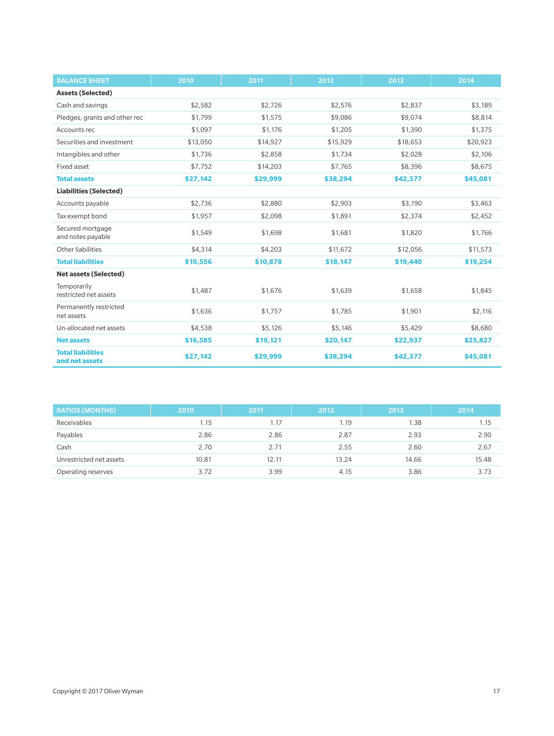| <b>BALANCE SHEET</b>                       | 2010     | 2011     | 2012     | 2013     | 2014     |
|--------------------------------------------|----------|----------|----------|----------|----------|
| <b>Assets (Selected)</b>                   |          |          |          |          |          |
| Cash and savings                           | \$2,582  | \$2,726  | \$2,576  | \$2,837  | \$3,189  |
| Pledges, grants and other rec              | \$1,799  | \$1,575  | \$9,086  | \$9,074  | \$8,814  |
| Accounts rec                               | \$1,097  | \$1,176  | \$1,205  | \$1,390  | \$1,375  |
| Securities and investment                  | \$13,050 | \$14,927 | \$15,929 | \$18,653 | \$20,923 |
| Intangibles and other                      | \$1,736  | \$2,858  | \$1,734  | \$2,028  | \$2,106  |
| Fixed asset                                | \$7,752  | \$14,203 | \$7,765  | \$8,396  | \$8,675  |
| <b>Total assets</b>                        | \$27,142 | \$29,999 | \$38,294 | \$42,377 | \$45,081 |
| <b>Liabilities (Selected)</b>              |          |          |          |          |          |
| Accounts payable                           | \$2,736  | \$2,880  | \$2,903  | \$3,190  | \$3,463  |
| Tax exempt bond                            | \$1,957  | \$2,098  | \$1,891  | \$2,374  | \$2,452  |
| Secured mortgage<br>and notes payable      | \$1,549  | \$1,698  | \$1,681  | \$1,820  | \$1,766  |
| Other liabilities                          | \$4.314  | \$4,203  | \$11,672 | \$12,056 | \$11,573 |
| <b>Total liabilities</b>                   | \$10,556 | \$10,878 | \$18,147 | \$19,440 | \$19,254 |
| <b>Net assets (Selected)</b>               |          |          |          |          |          |
| Temporarily<br>restricted net assets       | \$1,487  | \$1,676  | \$1,639  | \$1,658  | \$1,845  |
| Permanently restricted<br>net assets       | \$1,636  | \$1,757  | \$1,785  | \$1,901  | \$2,116  |
| Un-allocated net assets                    | \$4,538  | \$5,126  | \$5,146  | \$5,429  | \$8,680  |
| <b>Net assets</b>                          | \$16,585 | \$19,121 | \$20,147 | \$22,937 | \$25,827 |
| <b>Total liabilities</b><br>and net assets | \$27,142 | \$29,999 | \$38,294 | \$42,377 | \$45,081 |

| <b>RATIOS (MONTHS)</b>  | 2010  | 2011  | 2012  | 2013  | 2014  |
|-------------------------|-------|-------|-------|-------|-------|
| Receivables             | 1.15  | 1.17  | 1.19  | 1.38  | 1.15  |
| Payables                | 2.86  | 2.86  | 2.87  | 2.93  | 2.90  |
| Cash                    | 2.70  | 2.71  | 2.55  | 2.60  | 2.67  |
| Unrestricted net assets | 10.81 | 12.11 | 13.24 | 14.66 | 15.48 |
| Operating reserves      | 3.72  | 3.99  | 4.15  | 3.86  | 3.73  |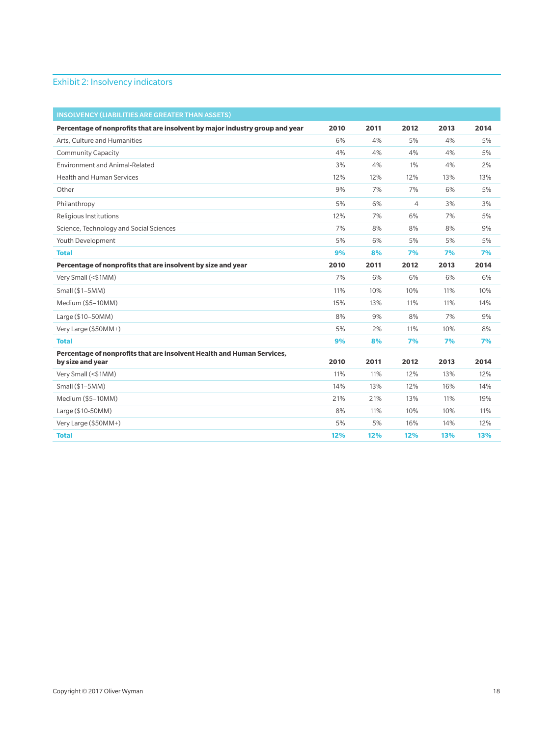#### Exhibit 2: Insolvency indicators

| <b>INSOLVENCY (LIABILITIES ARE GREATER THAN ASSETS)</b>                      |      |      |                |      |      |
|------------------------------------------------------------------------------|------|------|----------------|------|------|
| Percentage of nonprofits that are insolvent by major industry group and year | 2010 | 2011 | 2012           | 2013 | 2014 |
| Arts, Culture and Humanities                                                 | 6%   | 4%   | 5%             | 4%   | 5%   |
| <b>Community Capacity</b>                                                    | 4%   | 4%   | 4%             | 4%   | 5%   |
| Environment and Animal-Related                                               | 3%   | 4%   | 1%             | 4%   | 2%   |
| <b>Health and Human Services</b>                                             | 12%  | 12%  | 12%            | 13%  | 13%  |
| Other                                                                        | 9%   | 7%   | 7%             | 6%   | 5%   |
| Philanthropy                                                                 | 5%   | 6%   | $\overline{4}$ | 3%   | 3%   |
| <b>Religious Institutions</b>                                                | 12%  | 7%   | 6%             | 7%   | 5%   |
| Science, Technology and Social Sciences                                      | 7%   | 8%   | 8%             | 8%   | 9%   |
| Youth Development                                                            | 5%   | 6%   | 5%             | 5%   | 5%   |
| <b>Total</b>                                                                 | 9%   | 8%   | 7%             | 7%   | 7%   |
| Percentage of nonprofits that are insolvent by size and year                 | 2010 | 2011 | 2012           | 2013 | 2014 |
| Very Small (<\$1MM)                                                          | 7%   | 6%   | 6%             | 6%   | 6%   |
| Small (\$1-5MM)                                                              | 11%  | 10%  | 10%            | 11%  | 10%  |
| Medium (\$5-10MM)                                                            | 15%  | 13%  | 11%            | 11%  | 14%  |
| Large (\$10-50MM)                                                            | 8%   | 9%   | 8%             | 7%   | 9%   |
| Very Large (\$50MM+)                                                         | 5%   | 2%   | 11%            | 10%  | 8%   |
| <b>Total</b>                                                                 | 9%   | 8%   | 7%             | 7%   | 7%   |
| Percentage of nonprofits that are insolvent Health and Human Services,       |      |      |                |      |      |
| by size and year                                                             | 2010 | 2011 | 2012           | 2013 | 2014 |
| Very Small (<\$1MM)                                                          | 11%  | 11%  | 12%            | 13%  | 12%  |
| Small (\$1-5MM)                                                              | 14%  | 13%  | 12%            | 16%  | 14%  |
| Medium (\$5-10MM)                                                            | 21%  | 21%  | 13%            | 11%  | 19%  |
| Large (\$10-50MM)                                                            | 8%   | 11%  | 10%            | 10%  | 11%  |
| Very Large (\$50MM+)                                                         | 5%   | 5%   | 16%            | 14%  | 12%  |
| <b>Total</b>                                                                 | 12%  | 12%  | 12%            | 13%  | 13%  |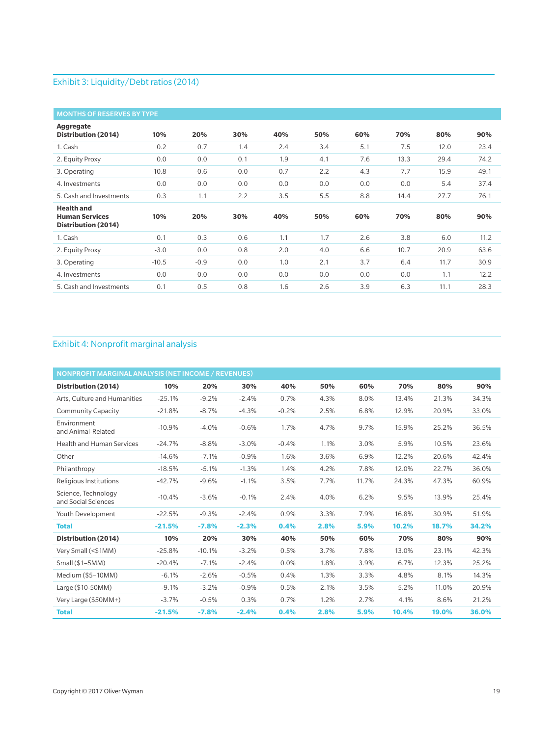#### Exhibit 3: Liquidity/Debt ratios (2014)

| <b>MONTHS OF RESERVES BY TYPE</b>                                 |         |        |     |     |     |     |      |      |      |
|-------------------------------------------------------------------|---------|--------|-----|-----|-----|-----|------|------|------|
| <b>Aggregate</b><br>Distribution (2014)                           | 10%     | 20%    | 30% | 40% | 50% | 60% | 70%  | 80%  | 90%  |
| 1. Cash                                                           | 0.2     | 0.7    | 1.4 | 2.4 | 3.4 | 5.1 | 7.5  | 12.0 | 23.4 |
| 2. Equity Proxy                                                   | 0.0     | 0.0    | 0.1 | 1.9 | 4.1 | 7.6 | 13.3 | 29.4 | 74.2 |
| 3. Operating                                                      | $-10.8$ | $-0.6$ | 0.0 | 0.7 | 2.2 | 4.3 | 7.7  | 15.9 | 49.1 |
| 4. Investments                                                    | 0.0     | 0.0    | 0.0 | 0.0 | 0.0 | 0.0 | 0.0  | 5.4  | 37.4 |
| 5. Cash and Investments                                           | 0.3     | 1.1    | 2.2 | 3.5 | 5.5 | 8.8 | 14.4 | 27.7 | 76.1 |
| <b>Health and</b><br><b>Human Services</b><br>Distribution (2014) | 10%     | 20%    | 30% | 40% | 50% | 60% | 70%  | 80%  | 90%  |
| 1. Cash                                                           | 0.1     | 0.3    | 0.6 | 1.1 | 1.7 | 2.6 | 3.8  | 6.0  | 11.2 |
| 2. Equity Proxy                                                   | $-3.0$  | 0.0    | 0.8 | 2.0 | 4.0 | 6.6 | 10.7 | 20.9 | 63.6 |
| 3. Operating                                                      | $-10.5$ | $-0.9$ | 0.0 | 1.0 | 2.1 | 3.7 | 6.4  | 11.7 | 30.9 |
| 4. Investments                                                    | 0.0     | 0.0    | 0.0 | 0.0 | 0.0 | 0.0 | 0.0  | 1.1  | 12.2 |
| 5. Cash and Investments                                           | 0.1     | 0.5    | 0.8 | 1.6 | 2.6 | 3.9 | 6.3  | 11.1 | 28.3 |

#### Exhibit 4: Nonprofit marginal analysis

| <b>NONPROFIT MARGINAL ANALYSIS (NET INCOME / REVENUES)</b> |          |          |         |         |      |       |       |       |       |
|------------------------------------------------------------|----------|----------|---------|---------|------|-------|-------|-------|-------|
| Distribution (2014)                                        | 10%      | 20%      | 30%     | 40%     | 50%  | 60%   | 70%   | 80%   | 90%   |
| Arts. Culture and Humanities                               | $-25.1%$ | $-9.2%$  | $-2.4%$ | 0.7%    | 4.3% | 8.0%  | 13.4% | 21.3% | 34.3% |
| <b>Community Capacity</b>                                  | $-21.8%$ | $-8.7%$  | $-4.3%$ | $-0.2%$ | 2.5% | 6.8%  | 12.9% | 20.9% | 33.0% |
| Environment<br>and Animal-Related                          | $-10.9%$ | $-4.0%$  | $-0.6%$ | 1.7%    | 4.7% | 9.7%  | 15.9% | 25.2% | 36.5% |
| <b>Health and Human Services</b>                           | $-24.7%$ | $-8.8%$  | $-3.0%$ | $-0.4%$ | 1.1% | 3.0%  | 5.9%  | 10.5% | 23.6% |
| Other                                                      | $-14.6%$ | $-7.1%$  | $-0.9%$ | 1.6%    | 3.6% | 6.9%  | 12.2% | 20.6% | 42.4% |
| Philanthropy                                               | $-18.5%$ | $-5.1%$  | $-1.3%$ | 1.4%    | 4.2% | 7.8%  | 12.0% | 22.7% | 36.0% |
| Religious Institutions                                     | $-42.7%$ | $-9.6%$  | $-1.1%$ | 3.5%    | 7.7% | 11.7% | 24.3% | 47.3% | 60.9% |
| Science, Technology<br>and Social Sciences                 | $-10.4%$ | $-3.6%$  | $-0.1%$ | 2.4%    | 4.0% | 6.2%  | 9.5%  | 13.9% | 25.4% |
| Youth Development                                          | $-22.5%$ | $-9.3%$  | $-2.4%$ | 0.9%    | 3.3% | 7.9%  | 16.8% | 30.9% | 51.9% |
| <b>Total</b>                                               | $-21.5%$ | $-7.8%$  | $-2.3%$ | 0.4%    | 2.8% | 5.9%  | 10.2% | 18.7% | 34.2% |
| Distribution (2014)                                        | 10%      | 20%      | 30%     | 40%     | 50%  | 60%   | 70%   | 80%   | 90%   |
| Very Small (<\$1MM)                                        | $-25.8%$ | $-10.1%$ | $-3.2%$ | 0.5%    | 3.7% | 7.8%  | 13.0% | 23.1% | 42.3% |
| Small $($1-5MM)$                                           | $-20.4%$ | $-7.1%$  | $-2.4%$ | 0.0%    | 1.8% | 3.9%  | 6.7%  | 12.3% | 25.2% |
| Medium (\$5-10MM)                                          | $-6.1%$  | $-2.6%$  | $-0.5%$ | 0.4%    | 1.3% | 3.3%  | 4.8%  | 8.1%  | 14.3% |
| Large (\$10-50MM)                                          | $-9.1%$  | $-3.2%$  | $-0.9%$ | 0.5%    | 2.1% | 3.5%  | 5.2%  | 11.0% | 20.9% |
| Very Large (\$50MM+)                                       | $-3.7%$  | $-0.5%$  | 0.3%    | 0.7%    | 1.2% | 2.7%  | 4.1%  | 8.6%  | 21.2% |
| <b>Total</b>                                               | $-21.5%$ | $-7.8%$  | $-2.4%$ | 0.4%    | 2.8% | 5.9%  | 10.4% | 19.0% | 36.0% |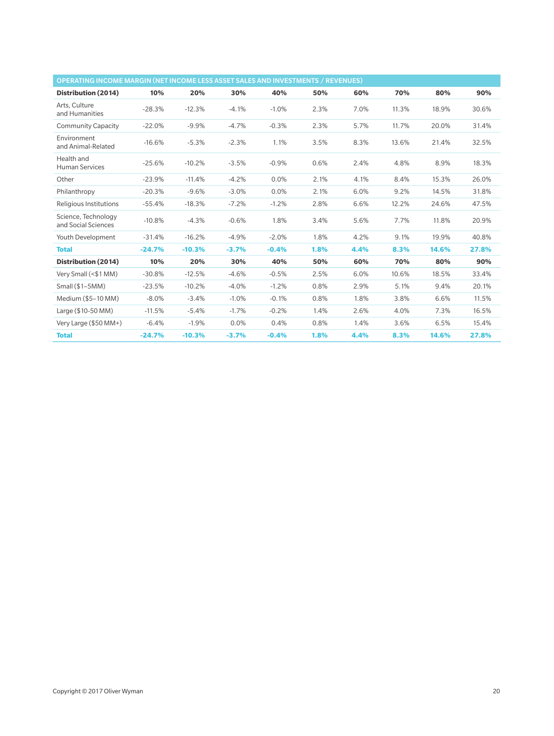| OPERATING INCOME MARGIN (NET INCOME LESS ASSET SALES AND INVESTMENTS / REVENUES) |          |          |         |         |      |      |       |       |       |
|----------------------------------------------------------------------------------|----------|----------|---------|---------|------|------|-------|-------|-------|
| Distribution (2014)                                                              | 10%      | 20%      | 30%     | 40%     | 50%  | 60%  | 70%   | 80%   | 90%   |
| Arts. Culture<br>and Humanities                                                  | $-28.3%$ | $-12.3%$ | $-4.1%$ | $-1.0%$ | 2.3% | 7.0% | 11.3% | 18.9% | 30.6% |
| <b>Community Capacity</b>                                                        | $-22.0%$ | $-9.9%$  | $-4.7%$ | $-0.3%$ | 2.3% | 5.7% | 11.7% | 20.0% | 31.4% |
| Environment<br>and Animal-Related                                                | $-16.6%$ | $-5.3%$  | $-2.3%$ | 1.1%    | 3.5% | 8.3% | 13.6% | 21.4% | 32.5% |
| Health and<br><b>Human Services</b>                                              | $-25.6%$ | $-10.2%$ | $-3.5%$ | $-0.9%$ | 0.6% | 2.4% | 4.8%  | 8.9%  | 18.3% |
| Other                                                                            | $-23.9%$ | $-11.4%$ | $-4.2%$ | 0.0%    | 2.1% | 4.1% | 8.4%  | 15.3% | 26.0% |
| Philanthropy                                                                     | $-20.3%$ | $-9.6%$  | $-3.0%$ | 0.0%    | 2.1% | 6.0% | 9.2%  | 14.5% | 31.8% |
| Religious Institutions                                                           | $-55.4%$ | $-18.3%$ | $-7.2%$ | $-1.2%$ | 2.8% | 6.6% | 12.2% | 24.6% | 47.5% |
| Science, Technology<br>and Social Sciences                                       | $-10.8%$ | $-4.3%$  | $-0.6%$ | 1.8%    | 3.4% | 5.6% | 7.7%  | 11.8% | 20.9% |
| Youth Development                                                                | $-31.4%$ | $-16.2%$ | $-4.9%$ | $-2.0%$ | 1.8% | 4.2% | 9.1%  | 19.9% | 40.8% |
| <b>Total</b>                                                                     | $-24.7%$ | $-10.3%$ | $-3.7%$ | $-0.4%$ | 1.8% | 4.4% | 8.3%  | 14.6% | 27.8% |
| Distribution (2014)                                                              | 10%      | 20%      | 30%     | 40%     | 50%  | 60%  | 70%   | 80%   | 90%   |
| Very Small (<\$1 MM)                                                             | $-30.8%$ | $-12.5%$ | $-4.6%$ | $-0.5%$ | 2.5% | 6.0% | 10.6% | 18.5% | 33.4% |
| Small $($1-5MM)$                                                                 | $-23.5%$ | $-10.2%$ | $-4.0%$ | $-1.2%$ | 0.8% | 2.9% | 5.1%  | 9.4%  | 20.1% |
| Medium (\$5-10 MM)                                                               | $-8.0\%$ | $-3.4%$  | $-1.0%$ | $-0.1%$ | 0.8% | 1.8% | 3.8%  | 6.6%  | 11.5% |
| Large (\$10-50 MM)                                                               | $-11.5%$ | $-5.4%$  | $-1.7%$ | $-0.2%$ | 1.4% | 2.6% | 4.0%  | 7.3%  | 16.5% |
| Very Large (\$50 MM+)                                                            | $-6.4%$  | $-1.9%$  | 0.0%    | 0.4%    | 0.8% | 1.4% | 3.6%  | 6.5%  | 15.4% |
| <b>Total</b>                                                                     | $-24.7%$ | $-10.3%$ | $-3.7%$ | $-0.4%$ | 1.8% | 4.4% | 8.3%  | 14.6% | 27.8% |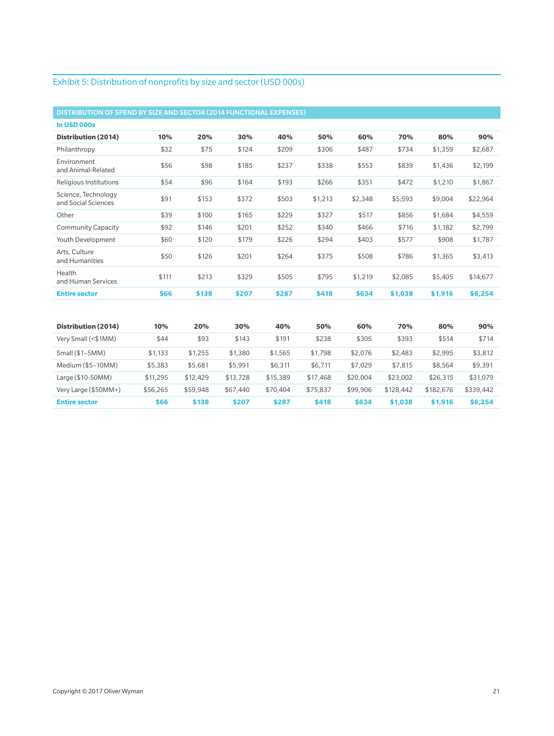#### Exhibit 5: Distribution of nonprofits by size and sector (USD 000s)

| DISTRIBUTION OF SPEND BY SIZE AND SECTOR (2014 FUNCTIONAL EXPENSES) |          |          |          |          |          |          |           |           |           |
|---------------------------------------------------------------------|----------|----------|----------|----------|----------|----------|-----------|-----------|-----------|
| In USD 000s                                                         |          |          |          |          |          |          |           |           |           |
| Distribution (2014)                                                 | 10%      | 20%      | 30%      | 40%      | 50%      | 60%      | 70%       | 80%       | 90%       |
| Philanthropy                                                        | \$32     | \$75     | \$124    | \$209    | \$306    | \$487    | \$734     | \$1,359   | \$2,687   |
| Environment<br>and Animal-Related                                   | \$56     | \$98     | \$185    | \$237    | \$338    | \$553    | \$839     | \$1,436   | \$2,199   |
| <b>Religious Institutions</b>                                       | \$54     | \$96     | \$164    | \$193    | \$266    | \$351    | \$472     | \$1,210   | \$1,867   |
| Science, Technology<br>and Social Sciences                          | \$91     | \$153    | \$372    | \$503    | \$1,213  | \$2,348  | \$5,593   | \$9,004   | \$22,964  |
| Other                                                               | \$39     | \$100    | \$165    | \$229    | \$327    | \$517    | \$856     | \$1,684   | \$4,559   |
| <b>Community Capacity</b>                                           | \$92     | \$146    | \$201    | \$252    | \$340    | \$466    | \$716     | \$1,182   | \$2,799   |
| Youth Development                                                   | \$60     | \$120    | \$179    | \$226    | \$294    | \$403    | \$577     | \$908     | \$1,787   |
| Arts, Culture<br>and Humanities                                     | \$50     | \$126    | \$201    | \$264    | \$375    | \$508    | \$786     | \$1,365   | \$3,413   |
| Health<br>and Human Services                                        | \$111    | \$213    | \$329    | \$505    | \$795    | \$1,219  | \$2,085   | \$5,405   | \$14,677  |
| <b>Entire sector</b>                                                | \$66     | \$138    | \$207    | \$287    | \$418    | \$634    | \$1,038   | \$1,916   | \$6,254   |
|                                                                     |          |          |          |          |          |          |           |           |           |
| Distribution (2014)                                                 | 10%      | 20%      | 30%      | 40%      | 50%      | 60%      | 70%       | 80%       | 90%       |
| Very Small (<\$1MM)                                                 | \$44     | \$93     | \$143    | \$191    | \$238    | \$305    | \$393     | \$514     | \$714     |
| Small (\$1-5MM)                                                     | \$1,133  | \$1,255  | \$1,380  | \$1,565  | \$1,798  | \$2,076  | \$2,483   | \$2,995   | \$3,812   |
| Medium (\$5-10MM)                                                   | \$5,383  | \$5,681  | \$5,991  | \$6,311  | \$6,711  | \$7,029  | \$7,815   | \$8,564   | \$9,391   |
| Large (\$10-50MM)                                                   | \$11,295 | \$12,429 | \$13,728 | \$15,389 | \$17,468 | \$20,004 | \$23,002  | \$26,315  | \$31,079  |
| Very Large (\$50MM+)                                                | \$56,265 | \$59,948 | \$67,440 | \$70,404 | \$75,837 | \$99,906 | \$128,442 | \$182,676 | \$339,442 |
| <b>Entire sector</b>                                                | \$66     | \$138    | \$207    | \$287    | \$418    | \$634    | \$1,038   | \$1,916   | \$6,254   |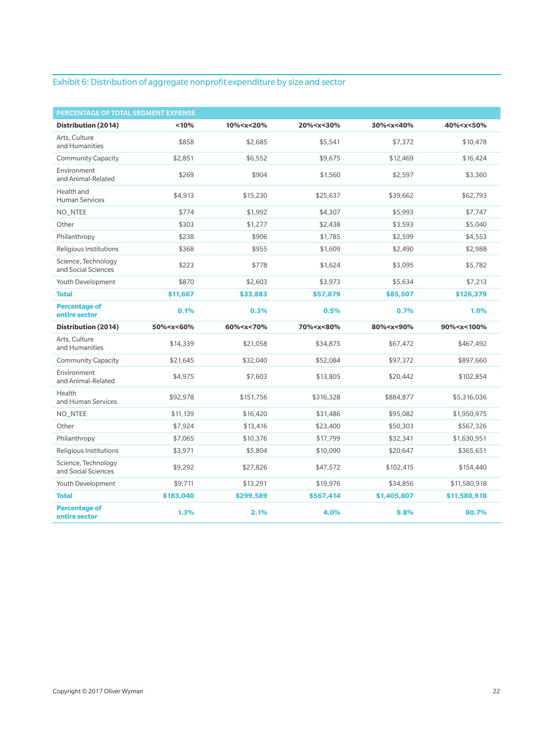#### Exhibit 6: Distribution of aggregate nonprofit expenditure by size and sector

| PERCENTAGE OF TOTAL SEGMENT EXPENSE        |                                                                                                                                                                           |                                                                                                                                        |                                                                                                     |                                                                  |                               |
|--------------------------------------------|---------------------------------------------------------------------------------------------------------------------------------------------------------------------------|----------------------------------------------------------------------------------------------------------------------------------------|-----------------------------------------------------------------------------------------------------|------------------------------------------------------------------|-------------------------------|
| Distribution (2014)                        | < 10%                                                                                                                                                                     | 10% <x<20%< th=""><th>20%<x<30%< th=""><th>30%<x<40%< th=""><th>40%<x<50%< th=""></x<50%<></th></x<40%<></th></x<30%<></th></x<20%<>   | 20% <x<30%< th=""><th>30%<x<40%< th=""><th>40%<x<50%< th=""></x<50%<></th></x<40%<></th></x<30%<>   | 30% <x<40%< th=""><th>40%<x<50%< th=""></x<50%<></th></x<40%<>   | 40% <x<50%< th=""></x<50%<>   |
| Arts, Culture<br>and Humanities            | \$858                                                                                                                                                                     | \$2,685                                                                                                                                | \$5,541                                                                                             | \$7,372                                                          | \$10,478                      |
| <b>Community Capacity</b>                  | \$2.851                                                                                                                                                                   | \$6.552                                                                                                                                | \$9.675                                                                                             | \$12,469                                                         | \$16,424                      |
| Environment<br>and Animal-Related          | \$269                                                                                                                                                                     | \$904                                                                                                                                  | \$1,560                                                                                             | \$2,597                                                          | \$3,360                       |
| Health and<br><b>Human Services</b>        | \$4,913                                                                                                                                                                   | \$15,230                                                                                                                               | \$25,637                                                                                            | \$39,662                                                         | \$62,793                      |
| NO_NTEE                                    | \$774                                                                                                                                                                     | \$1,992                                                                                                                                | \$4,307                                                                                             | \$5,993                                                          | \$7,747                       |
| Other                                      | \$303                                                                                                                                                                     | \$1,277                                                                                                                                | \$2,438                                                                                             | \$3,593                                                          | \$5,040                       |
| Philanthropy                               | \$238                                                                                                                                                                     | \$906                                                                                                                                  | \$1,785                                                                                             | \$2,599                                                          | \$4,553                       |
| Religious Institutions                     | \$368                                                                                                                                                                     | \$955                                                                                                                                  | \$1,609                                                                                             | \$2,490                                                          | \$2,988                       |
| Science, Technology<br>and Social Sciences | \$223                                                                                                                                                                     | \$778                                                                                                                                  | \$1,624                                                                                             | \$3,095                                                          | \$5,782                       |
| Youth Development                          | \$870                                                                                                                                                                     | \$2,603                                                                                                                                | \$3,973                                                                                             | \$5,634                                                          | \$7,213                       |
| <b>Total</b>                               | \$11.667                                                                                                                                                                  | \$33,883                                                                                                                               | \$57,879                                                                                            | \$85,507                                                         | \$126,379                     |
| <b>Percentage of</b><br>entire sector      | 0.1%                                                                                                                                                                      | 0.3%                                                                                                                                   | 0.5%                                                                                                | 0.7%                                                             | 1.0%                          |
| Distribution (2014)                        | 50% <x<60%< th=""><th>60%<x<70%< th=""><th>70%<x<80%< th=""><th>80%<x<90%< th=""><th>90%<x<100%< th=""></x<100%<></th></x<90%<></th></x<80%<></th></x<70%<></th></x<60%<> | 60% <x<70%< th=""><th>70%<x<80%< th=""><th>80%<x<90%< th=""><th>90%<x<100%< th=""></x<100%<></th></x<90%<></th></x<80%<></th></x<70%<> | 70% <x<80%< th=""><th>80%<x<90%< th=""><th>90%<x<100%< th=""></x<100%<></th></x<90%<></th></x<80%<> | 80% <x<90%< th=""><th>90%<x<100%< th=""></x<100%<></th></x<90%<> | 90% <x<100%< th=""></x<100%<> |
| Arts, Culture<br>and Humanities            | \$14,339                                                                                                                                                                  | \$21,058                                                                                                                               | \$34,875                                                                                            | \$67,472                                                         | \$467,492                     |
| <b>Community Capacity</b>                  | \$21,645                                                                                                                                                                  | \$32,040                                                                                                                               | \$52,084                                                                                            | \$97,372                                                         | \$897,660                     |
| Environment<br>and Animal-Related          | \$4.975                                                                                                                                                                   | \$7,603                                                                                                                                | \$13,805                                                                                            | \$20.442                                                         | \$102,854                     |
| Health<br>and Human Services               | \$92,978                                                                                                                                                                  | \$151,756                                                                                                                              | \$316,328                                                                                           | \$884,877                                                        | \$5,316,036                   |
| NO_NTEE                                    | \$11,139                                                                                                                                                                  | \$16,420                                                                                                                               | \$31,486                                                                                            | \$95,082                                                         | \$1,950,975                   |
| Other                                      | \$7,924                                                                                                                                                                   | \$13,416                                                                                                                               | \$23,400                                                                                            | \$50,303                                                         | \$567,326                     |
| Philanthropy                               | \$7,065                                                                                                                                                                   | \$10,376                                                                                                                               | \$17,799                                                                                            | \$32,341                                                         | \$1,630,951                   |
| Religious Institutions                     | \$3,971                                                                                                                                                                   | \$5,804                                                                                                                                | \$10,090                                                                                            | \$20,647                                                         | \$365,651                     |
| Science, Technology<br>and Social Sciences | \$9,292                                                                                                                                                                   | \$27,826                                                                                                                               | \$47,572                                                                                            | \$102,415                                                        | \$154,440                     |
| Youth Development                          | \$9,711                                                                                                                                                                   | \$13,291                                                                                                                               | \$19,976                                                                                            | \$34,856                                                         | \$11,580,918                  |
| <b>Total</b>                               | \$183,040                                                                                                                                                                 | \$299,589                                                                                                                              | \$567,414                                                                                           | \$1,405,807                                                      | \$11,580,918                  |
| <b>Percentage of</b><br>entire sector      | 1.3%                                                                                                                                                                      | 2.1%                                                                                                                                   | 4.0%                                                                                                | 9.8%                                                             | 80.7%                         |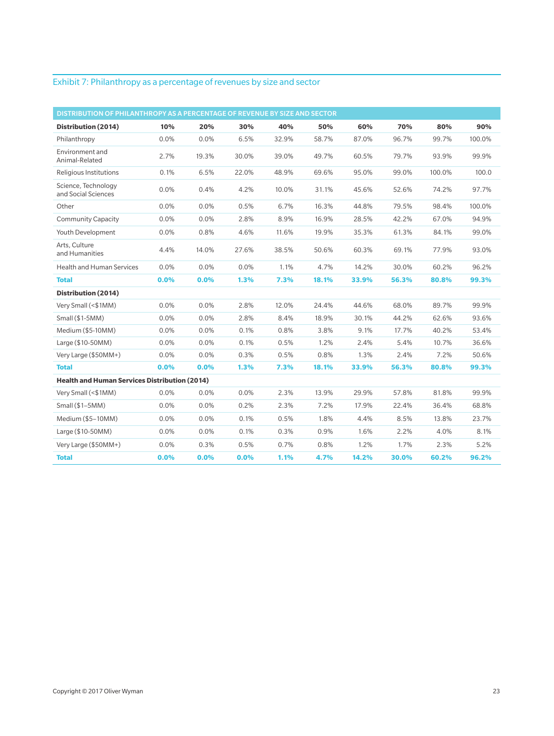#### Exhibit 7: Philanthropy as a percentage of revenues by size and sector

| DISTRIBUTION OF PHILANTHROPY AS A PERCENTAGE OF REVENUE BY SIZE AND SECTOR |      |       |       |       |       |       |       |        |        |
|----------------------------------------------------------------------------|------|-------|-------|-------|-------|-------|-------|--------|--------|
| Distribution (2014)                                                        | 10%  | 20%   | 30%   | 40%   | 50%   | 60%   | 70%   | 80%    | 90%    |
| Philanthropy                                                               | 0.0% | 0.0%  | 6.5%  | 32.9% | 58.7% | 87.0% | 96.7% | 99.7%  | 100.0% |
| Environment and<br>Animal-Related                                          | 2.7% | 19.3% | 30.0% | 39.0% | 49.7% | 60.5% | 79.7% | 93.9%  | 99.9%  |
| Religious Institutions                                                     | 0.1% | 6.5%  | 22.0% | 48.9% | 69.6% | 95.0% | 99.0% | 100.0% | 100.0  |
| Science, Technology<br>and Social Sciences                                 | 0.0% | 0.4%  | 4.2%  | 10.0% | 31.1% | 45.6% | 52.6% | 74.2%  | 97.7%  |
| Other                                                                      | 0.0% | 0.0%  | 0.5%  | 6.7%  | 16.3% | 44.8% | 79.5% | 98.4%  | 100.0% |
| <b>Community Capacity</b>                                                  | 0.0% | 0.0%  | 2.8%  | 8.9%  | 16.9% | 28.5% | 42.2% | 67.0%  | 94.9%  |
| Youth Development                                                          | 0.0% | 0.8%  | 4.6%  | 11.6% | 19.9% | 35.3% | 61.3% | 84.1%  | 99.0%  |
| Arts, Culture<br>and Humanities                                            | 4.4% | 14.0% | 27.6% | 38.5% | 50.6% | 60.3% | 69.1% | 77.9%  | 93.0%  |
| <b>Health and Human Services</b>                                           | 0.0% | 0.0%  | 0.0%  | 1.1%  | 4.7%  | 14.2% | 30.0% | 60.2%  | 96.2%  |
| <b>Total</b>                                                               | 0.0% | 0.0%  | 1.3%  | 7.3%  | 18.1% | 33.9% | 56.3% | 80.8%  | 99.3%  |
| Distribution (2014)                                                        |      |       |       |       |       |       |       |        |        |
| Very Small (<\$1MM)                                                        | 0.0% | 0.0%  | 2.8%  | 12.0% | 24.4% | 44.6% | 68.0% | 89.7%  | 99.9%  |
| $Small(S1-5MM)$                                                            | 0.0% | 0.0%  | 2.8%  | 8.4%  | 18.9% | 30.1% | 44.2% | 62.6%  | 93.6%  |
| Medium (\$5-10MM)                                                          | 0.0% | 0.0%  | 0.1%  | 0.8%  | 3.8%  | 9.1%  | 17.7% | 40.2%  | 53.4%  |
| Large (\$10-50MM)                                                          | 0.0% | 0.0%  | 0.1%  | 0.5%  | 1.2%  | 2.4%  | 5.4%  | 10.7%  | 36.6%  |
| Very Large (\$50MM+)                                                       | 0.0% | 0.0%  | 0.3%  | 0.5%  | 0.8%  | 1.3%  | 2.4%  | 7.2%   | 50.6%  |
| <b>Total</b>                                                               | 0.0% | 0.0%  | 1.3%  | 7.3%  | 18.1% | 33.9% | 56.3% | 80.8%  | 99.3%  |
| <b>Health and Human Services Distribution (2014)</b>                       |      |       |       |       |       |       |       |        |        |
| Very Small (<\$1MM)                                                        | 0.0% | 0.0%  | 0.0%  | 2.3%  | 13.9% | 29.9% | 57.8% | 81.8%  | 99.9%  |
| Small (\$1-5MM)                                                            | 0.0% | 0.0%  | 0.2%  | 2.3%  | 7.2%  | 17.9% | 22.4% | 36.4%  | 68.8%  |
| Medium (\$5-10MM)                                                          | 0.0% | 0.0%  | 0.1%  | 0.5%  | 1.8%  | 4.4%  | 8.5%  | 13.8%  | 23.7%  |
| Large (\$10-50MM)                                                          | 0.0% | 0.0%  | 0.1%  | 0.3%  | 0.9%  | 1.6%  | 2.2%  | 4.0%   | 8.1%   |
| Very Large (\$50MM+)                                                       | 0.0% | 0.3%  | 0.5%  | 0.7%  | 0.8%  | 1.2%  | 1.7%  | 2.3%   | 5.2%   |
| <b>Total</b>                                                               | 0.0% | 0.0%  | 0.0%  | 1.1%  | 4.7%  | 14.2% | 30.0% | 60.2%  | 96.2%  |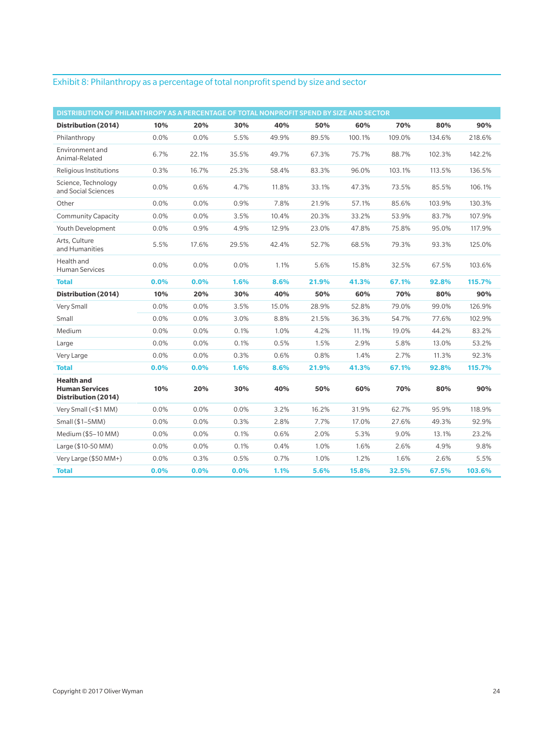#### Exhibit 8: Philanthropy as a percentage of total nonprofit spend by size and sector

| DISTRIBUTION OF PHILANTHROPY AS A PERCENTAGE OF TOTAL NONPROFIT SPEND BY SIZE AND SECTOR |         |         |       |       |       |        |        |        |        |
|------------------------------------------------------------------------------------------|---------|---------|-------|-------|-------|--------|--------|--------|--------|
| Distribution (2014)                                                                      | 10%     | 20%     | 30%   | 40%   | 50%   | 60%    | 70%    | 80%    | 90%    |
| Philanthropy                                                                             | 0.0%    | 0.0%    | 5.5%  | 49.9% | 89.5% | 100.1% | 109.0% | 134.6% | 218.6% |
| Environment and<br>Animal-Related                                                        | 6.7%    | 22.1%   | 35.5% | 49.7% | 67.3% | 75.7%  | 88.7%  | 102.3% | 142.2% |
| Religious Institutions                                                                   | 0.3%    | 16.7%   | 25.3% | 58.4% | 83.3% | 96.0%  | 103.1% | 113.5% | 136.5% |
| Science, Technology<br>and Social Sciences                                               | 0.0%    | 0.6%    | 4.7%  | 11.8% | 33.1% | 47.3%  | 73.5%  | 85.5%  | 106.1% |
| Other                                                                                    | 0.0%    | 0.0%    | 0.9%  | 7.8%  | 21.9% | 57.1%  | 85.6%  | 103.9% | 130.3% |
| <b>Community Capacity</b>                                                                | 0.0%    | 0.0%    | 3.5%  | 10.4% | 20.3% | 33.2%  | 53.9%  | 83.7%  | 107.9% |
| Youth Development                                                                        | 0.0%    | 0.9%    | 4.9%  | 12.9% | 23.0% | 47.8%  | 75.8%  | 95.0%  | 117.9% |
| Arts, Culture<br>and Humanities                                                          | 5.5%    | 17.6%   | 29.5% | 42.4% | 52.7% | 68.5%  | 79.3%  | 93.3%  | 125.0% |
| Health and<br><b>Human Services</b>                                                      | 0.0%    | 0.0%    | 0.0%  | 1.1%  | 5.6%  | 15.8%  | 32.5%  | 67.5%  | 103.6% |
| <b>Total</b>                                                                             | $0.0\%$ | $0.0\%$ | 1.6%  | 8.6%  | 21.9% | 41.3%  | 67.1%  | 92.8%  | 115.7% |
| Distribution (2014)                                                                      | 10%     | 20%     | 30%   | 40%   | 50%   | 60%    | 70%    | 80%    | 90%    |
| Very Small                                                                               | 0.0%    | 0.0%    | 3.5%  | 15.0% | 28.9% | 52.8%  | 79.0%  | 99.0%  | 126.9% |
| Small                                                                                    | 0.0%    | 0.0%    | 3.0%  | 8.8%  | 21.5% | 36.3%  | 54.7%  | 77.6%  | 102.9% |
| Medium                                                                                   | 0.0%    | 0.0%    | 0.1%  | 1.0%  | 4.2%  | 11.1%  | 19.0%  | 44.2%  | 83.2%  |
| Large                                                                                    | 0.0%    | 0.0%    | 0.1%  | 0.5%  | 1.5%  | 2.9%   | 5.8%   | 13.0%  | 53.2%  |
| Very Large                                                                               | 0.0%    | 0.0%    | 0.3%  | 0.6%  | 0.8%  | 1.4%   | 2.7%   | 11.3%  | 92.3%  |
| <b>Total</b>                                                                             | 0.0%    | 0.0%    | 1.6%  | 8.6%  | 21.9% | 41.3%  | 67.1%  | 92.8%  | 115.7% |
| <b>Health and</b><br><b>Human Services</b><br>Distribution (2014)                        | 10%     | 20%     | 30%   | 40%   | 50%   | 60%    | 70%    | 80%    | 90%    |
| Very Small (<\$1 MM)                                                                     | 0.0%    | 0.0%    | 0.0%  | 3.2%  | 16.2% | 31.9%  | 62.7%  | 95.9%  | 118.9% |
| Small $($1–5MM)$                                                                         | 0.0%    | 0.0%    | 0.3%  | 2.8%  | 7.7%  | 17.0%  | 27.6%  | 49.3%  | 92.9%  |
| Medium (\$5–10 MM)                                                                       | 0.0%    | 0.0%    | 0.1%  | 0.6%  | 2.0%  | 5.3%   | 9.0%   | 13.1%  | 23.2%  |
| Large (\$10-50 MM)                                                                       | 0.0%    | 0.0%    | 0.1%  | 0.4%  | 1.0%  | 1.6%   | 2.6%   | 4.9%   | 9.8%   |
| Very Large $(\$50$ MM+)                                                                  | 0.0%    | 0.3%    | 0.5%  | 0.7%  | 1.0%  | 1.2%   | 1.6%   | 2.6%   | 5.5%   |
| <b>Total</b>                                                                             | 0.0%    | 0.0%    | 0.0%  | 1.1%  | 5.6%  | 15.8%  | 32.5%  | 67.5%  | 103.6% |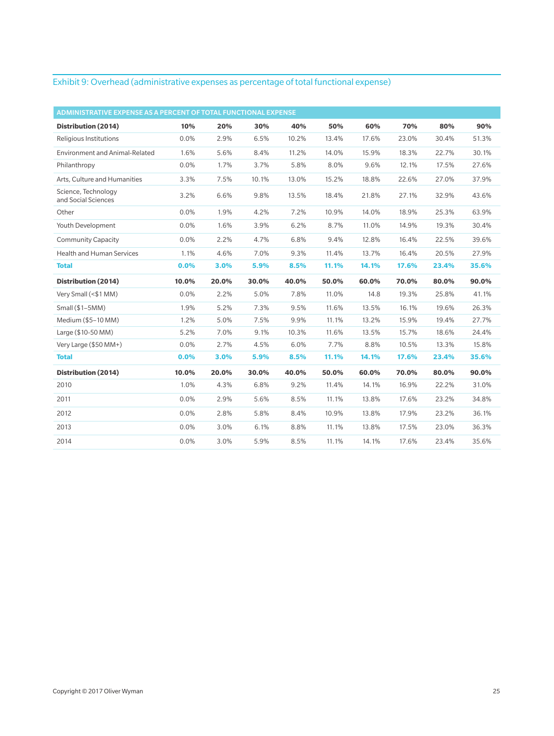#### Exhibit 9: Overhead (administrative expenses as percentage of total functional expense)

| ADMINISTRATIVE EXPENSE AS A PERCENT OF TOTAL FUNCTIONAL EXPENSE |       |       |       |       |       |       |       |       |       |
|-----------------------------------------------------------------|-------|-------|-------|-------|-------|-------|-------|-------|-------|
| Distribution (2014)                                             | 10%   | 20%   | 30%   | 40%   | 50%   | 60%   | 70%   | 80%   | 90%   |
| Religious Institutions                                          | 0.0%  | 2.9%  | 6.5%  | 10.2% | 13.4% | 17.6% | 23.0% | 30.4% | 51.3% |
| <b>Environment and Animal-Related</b>                           | 1.6%  | 5.6%  | 8.4%  | 11.2% | 14.0% | 15.9% | 18.3% | 22.7% | 30.1% |
| Philanthropy                                                    | 0.0%  | 1.7%  | 3.7%  | 5.8%  | 8.0%  | 9.6%  | 12.1% | 17.5% | 27.6% |
| Arts. Culture and Humanities                                    | 3.3%  | 7.5%  | 10.1% | 13.0% | 15.2% | 18.8% | 22.6% | 27.0% | 37.9% |
| Science, Technology<br>and Social Sciences                      | 3.2%  | 6.6%  | 9.8%  | 13.5% | 18.4% | 21.8% | 27.1% | 32.9% | 43.6% |
| Other                                                           | 0.0%  | 1.9%  | 4.2%  | 7.2%  | 10.9% | 14.0% | 18.9% | 25.3% | 63.9% |
| Youth Development                                               | 0.0%  | 1.6%  | 3.9%  | 6.2%  | 8.7%  | 11.0% | 14.9% | 19.3% | 30.4% |
| <b>Community Capacity</b>                                       | 0.0%  | 2.2%  | 4.7%  | 6.8%  | 9.4%  | 12.8% | 16.4% | 22.5% | 39.6% |
| <b>Health and Human Services</b>                                | 1.1%  | 4.6%  | 7.0%  | 9.3%  | 11.4% | 13.7% | 16.4% | 20.5% | 27.9% |
| <b>Total</b>                                                    | 0.0%  | 3.0%  | 5.9%  | 8.5%  | 11.1% | 14.1% | 17.6% | 23.4% | 35.6% |
|                                                                 |       |       |       |       |       |       |       |       |       |
| Distribution (2014)                                             | 10.0% | 20.0% | 30.0% | 40.0% | 50.0% | 60.0% | 70.0% | 80.0% | 90.0% |
| Very Small (<\$1 MM)                                            | 0.0%  | 2.2%  | 5.0%  | 7.8%  | 11.0% | 14.8  | 19.3% | 25.8% | 41.1% |
| Small (\$1-5MM)                                                 | 1.9%  | 5.2%  | 7.3%  | 9.5%  | 11.6% | 13.5% | 16.1% | 19.6% | 26.3% |
| Medium (\$5-10 MM)                                              | 1.2%  | 5.0%  | 7.5%  | 9.9%  | 11.1% | 13.2% | 15.9% | 19.4% | 27.7% |
| Large (\$10-50 MM)                                              | 5.2%  | 7.0%  | 9.1%  | 10.3% | 11.6% | 13.5% | 15.7% | 18.6% | 24.4% |
| Very Large (\$50 MM+)                                           | 0.0%  | 2.7%  | 4.5%  | 6.0%  | 7.7%  | 8.8%  | 10.5% | 13.3% | 15.8% |
| <b>Total</b>                                                    | 0.0%  | 3.0%  | 5.9%  | 8.5%  | 11.1% | 14.1% | 17.6% | 23.4% | 35.6% |
| Distribution (2014)                                             | 10.0% | 20.0% | 30.0% | 40.0% | 50.0% | 60.0% | 70.0% | 80.0% | 90.0% |
| 2010                                                            | 1.0%  | 4.3%  | 6.8%  | 9.2%  | 11.4% | 14.1% | 16.9% | 22.2% | 31.0% |
| 2011                                                            | 0.0%  | 2.9%  | 5.6%  | 8.5%  | 11.1% | 13.8% | 17.6% | 23.2% | 34.8% |
| 2012                                                            | 0.0%  | 2.8%  | 5.8%  | 8.4%  | 10.9% | 13.8% | 17.9% | 23.2% | 36.1% |
| 2013                                                            | 0.0%  | 3.0%  | 6.1%  | 8.8%  | 11.1% | 13.8% | 17.5% | 23.0% | 36.3% |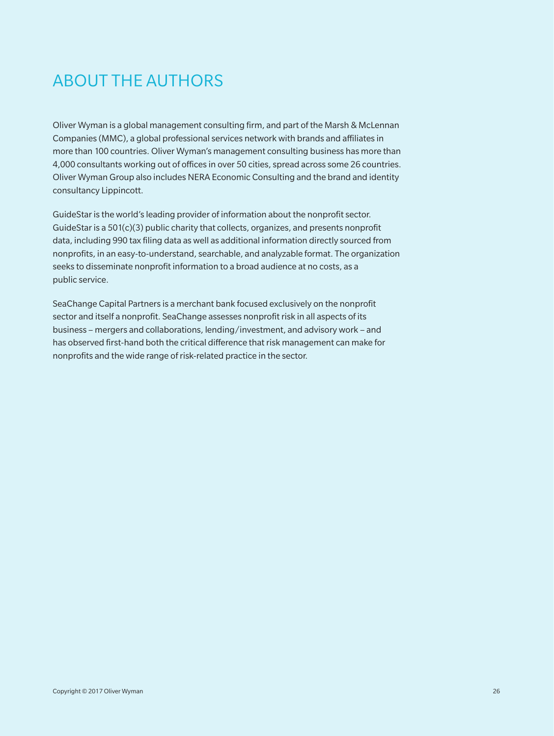# ABOUT THE AUTHORS

Oliver Wyman is a global management consulting firm, and part of the Marsh & McLennan Companies (MMC), a global professional services network with brands and affiliates in more than 100 countries. Oliver Wyman's management consulting business has more than 4,000 consultants working out of offices in over 50 cities, spread across some 26 countries. Oliver Wyman Group also includes NERA Economic Consulting and the brand and identity consultancy Lippincott.

GuideStar is the world's leading provider of information about the nonprofit sector. GuideStar is a  $501(c)(3)$  public charity that collects, organizes, and presents nonprofit data, including 990 tax filing data as well as additional information directly sourced from nonprofits, in an easy-to-understand, searchable, and analyzable format. The organization seeks to disseminate nonprofit information to a broad audience at no costs, as a public service.

SeaChange Capital Partners is a merchant bank focused exclusively on the nonprofit sector and itself a nonprofit. SeaChange assesses nonprofit risk in all aspects of its business – mergers and collaborations, lending/investment, and advisory work – and has observed first-hand both the critical difference that risk management can make for nonprofits and the wide range of risk-related practice in the sector.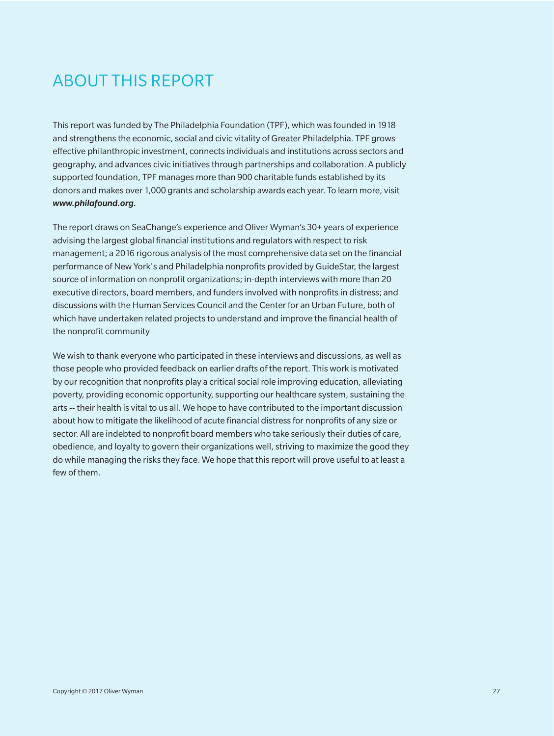## ABOUT THIS REPORT

This report was funded by The Philadelphia Foundation (TPF), which was founded in 1918 and strengthens the economic, social and civic vitality of Greater Philadelphia. TPF grows effective philanthropic investment, connects individuals and institutions across sectors and geography, and advances civic initiatives through partnerships and collaboration. A publicly supported foundation, TPF manages more than 900 charitable funds established by its donors and makes over 1,000 grants and scholarship awards each year. To learn more, visit *www.philafound.org.*

The report draws on SeaChange's experience and Oliver Wyman's 30+ years of experience advising the largest global financial institutions and regulators with respect to risk management; a 2016 rigorous analysis of the most comprehensive data set on the financial performance of New York's and Philadelphia nonprofits provided by GuideStar, the largest source of information on nonprofit organizations; in-depth interviews with more than 20 executive directors, board members, and funders involved with nonprofits in distress; and discussions with the Human Services Council and the Center for an Urban Future, both of which have undertaken related projects to understand and improve the financial health of the nonprofit community

We wish to thank everyone who participated in these interviews and discussions, as well as those people who provided feedback on earlier drafts of the report. This work is motivated by our recognition that nonprofits play a critical social role improving education, alleviating poverty, providing economic opportunity, supporting our healthcare system, sustaining the arts -- their health is vital to us all. We hope to have contributed to the important discussion about how to mitigate the likelihood of acute financial distress for nonprofits of any size or sector. All are indebted to nonprofit board members who take seriously their duties of care, obedience, and loyalty to govern their organizations well, striving to maximize the good they do while managing the risks they face. We hope that this report will prove useful to at least a few of them.